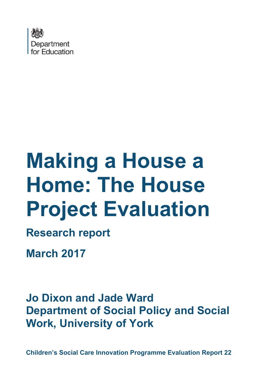

# **Making a House a Home: The House Project Evaluation**

**Research report** 

**March 2017**

**Jo Dixon and Jade Ward Department of Social Policy and Social Work, University of York**

**Children's Social Care Innovation Programme Evaluation Report 22**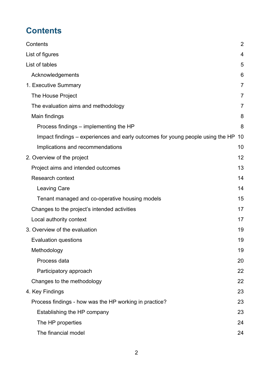# <span id="page-1-0"></span>**Contents**

| Contents                                                                       | $\overline{2}$ |
|--------------------------------------------------------------------------------|----------------|
| List of figures                                                                | $\overline{4}$ |
| List of tables                                                                 | 5              |
| Acknowledgements                                                               | 6              |
| 1. Executive Summary                                                           | 7              |
| The House Project                                                              | 7              |
| The evaluation aims and methodology                                            | 7              |
| Main findings                                                                  | 8              |
| Process findings – implementing the HP                                         | 8              |
| Impact findings – experiences and early outcomes for young people using the HP | 10             |
| Implications and recommendations                                               | 10             |
| 2. Overview of the project                                                     | 12             |
| Project aims and intended outcomes                                             | 13             |
| <b>Research context</b>                                                        | 14             |
| <b>Leaving Care</b>                                                            | 14             |
| Tenant managed and co-operative housing models                                 | 15             |
| Changes to the project's intended activities                                   | 17             |
| Local authority context                                                        | 17             |
| 3. Overview of the evaluation                                                  | 19             |
| <b>Evaluation questions</b>                                                    | 19             |
| Methodology                                                                    | 19             |
| Process data                                                                   | 20             |
| Participatory approach                                                         | 22             |
| Changes to the methodology                                                     | 22             |
| 4. Key Findings                                                                | 23             |
| Process findings - how was the HP working in practice?                         | 23             |
| Establishing the HP company                                                    | 23             |
| The HP properties                                                              | 24             |
| The financial model                                                            | 24             |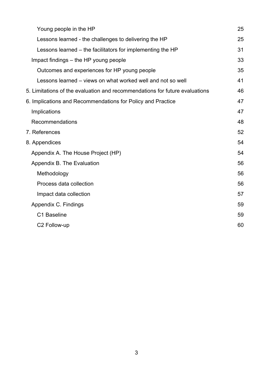| Young people in the HP                                                      | 25 |
|-----------------------------------------------------------------------------|----|
| Lessons learned - the challenges to delivering the HP                       | 25 |
| Lessons learned – the facilitators for implementing the HP                  | 31 |
| Impact findings – the HP young people                                       | 33 |
| Outcomes and experiences for HP young people                                | 35 |
| Lessons learned – views on what worked well and not so well                 | 41 |
| 5. Limitations of the evaluation and recommendations for future evaluations | 46 |
| 6. Implications and Recommendations for Policy and Practice                 | 47 |
| Implications                                                                | 47 |
| Recommendations                                                             | 48 |
| 7. References                                                               | 52 |
| 8. Appendices                                                               | 54 |
| Appendix A. The House Project (HP)                                          | 54 |
| Appendix B. The Evaluation                                                  | 56 |
| Methodology                                                                 | 56 |
| Process data collection                                                     | 56 |
| Impact data collection                                                      | 57 |
| Appendix C. Findings                                                        | 59 |
| C1 Baseline                                                                 | 59 |
| C2 Follow-up                                                                | 60 |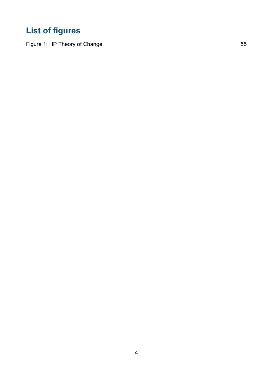# <span id="page-3-0"></span>**List of figures**

Figure 1: [HP Theory of Change](#page-54-0) 55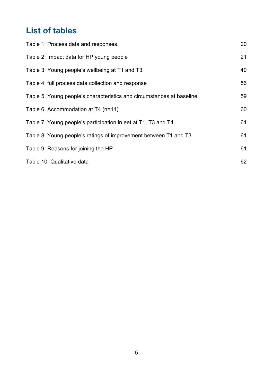# <span id="page-4-0"></span>**List of tables**

| Table 1: Process data and responses.                                  | 20 |
|-----------------------------------------------------------------------|----|
| Table 2: Impact data for HP young people                              | 21 |
| Table 3: Young people's wellbeing at T1 and T3                        | 40 |
| Table 4: full process data collection and response                    | 56 |
| Table 5: Young people's characteristics and circumstances at baseline | 59 |
| Table 6: Accommodation at T4 (n=11)                                   | 60 |
| Table 7: Young people's participation in eet at T1, T3 and T4         | 61 |
| Table 8: Young people's ratings of improvement between T1 and T3      | 61 |
| Table 9: Reasons for joining the HP                                   | 61 |
| Table 10: Qualitative data                                            | 62 |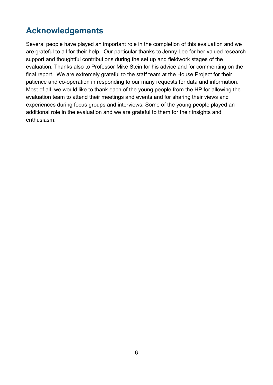# <span id="page-5-0"></span>**Acknowledgements**

Several people have played an important role in the completion of this evaluation and we are grateful to all for their help. Our particular thanks to Jenny Lee for her valued research support and thoughtful contributions during the set up and fieldwork stages of the evaluation. Thanks also to Professor Mike Stein for his advice and for commenting on the final report. We are extremely grateful to the staff team at the House Project for their patience and co-operation in responding to our many requests for data and information. Most of all, we would like to thank each of the young people from the HP for allowing the evaluation team to attend their meetings and events and for sharing their views and experiences during focus groups and interviews. Some of the young people played an additional role in the evaluation and we are grateful to them for their insights and enthusiasm.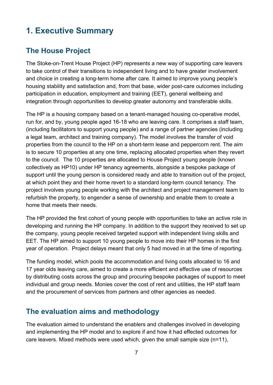# <span id="page-6-0"></span>**1. Executive Summary**

## <span id="page-6-1"></span>**The House Project**

The Stoke-on-Trent House Project (HP) represents a new way of supporting care leavers to take control of their transitions to independent living and to have greater involvement and choice in creating a long-term home after care. It aimed to improve young people's housing stability and satisfaction and, from that base, wider post-care outcomes including participation in education, employment and training (EET), general wellbeing and integration through opportunities to develop greater autonomy and transferable skills.

The HP is a housing company based on a tenant-managed housing co-operative model, run for, and by, young people aged 16-18 who are leaving care. It comprises a staff team, (including facilitators to support young people) and a range of partner agencies (including a legal team, architect and training company). The model involves the transfer of void properties from the council to the HP on a short-term lease and peppercorn rent. The aim is to secure 10 properties at any one time, replacing allocated properties when they revert to the council. The 10 properties are allocated to House Project young people (known collectively as HP10) under HP tenancy agreements, alongside a bespoke package of support until the young person is considered ready and able to transition out of the project, at which point they and their home revert to a standard long-term council tenancy. The project involves young people working with the architect and project management team to refurbish the property, to engender a sense of ownership and enable them to create a home that meets their needs.

The HP provided the first cohort of young people with opportunities to take an active role in developing and running the HP company. In addition to the support they received to set up the company, young people received targeted support with independent living skills and EET. The HP aimed to support 10 young people to move into their HP homes in the first year of operation. Project delays meant that only 5 had moved in at the time of reporting.

The funding model, which pools the accommodation and living costs allocated to 16 and 17 year olds leaving care, aimed to create a more efficient and effective use of resources by distributing costs across the group and procuring bespoke packages of support to meet individual and group needs. Monies cover the cost of rent and utilities, the HP staff team and the procurement of services from partners and other agencies as needed.

## <span id="page-6-2"></span>**The evaluation aims and methodology**

The evaluation aimed to understand the enablers and challenges involved in developing and implementing the HP model and to explore if and how it had effected outcomes for care leavers. Mixed methods were used which, given the small sample size (n=11),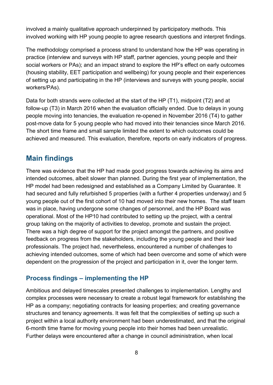involved a mainly qualitative approach underpinned by participatory methods. This involved working with HP young people to agree research questions and interpret findings.

The methodology comprised a process strand to understand how the HP was operating in practice (interview and surveys with HP staff, partner agencies, young people and their social workers or PAs); and an impact strand to explore the HP's effect on early outcomes (housing stability, EET participation and wellbeing) for young people and their experiences of setting up and participating in the HP (interviews and surveys with young people, social workers/PAs).

Data for both strands were collected at the start of the HP (T1), midpoint (T2) and at follow-up (T3) in March 2016 when the evaluation officially ended. Due to delays in young people moving into tenancies, the evaluation re-opened in November 2016 (T4) to gather post-move data for 5 young people who had moved into their tenancies since March 2016. The short time frame and small sample limited the extent to which outcomes could be achieved and measured. This evaluation, therefore, reports on early indicators of progress.

## <span id="page-7-0"></span>**Main findings**

There was evidence that the HP had made good progress towards achieving its aims and intended outcomes, albeit slower than planned. During the first year of implementation, the HP model had been redesigned and established as a Company Limited by Guarantee. It had secured and fully refurbished 5 properties (with a further 4 properties underway) and 5 young people out of the first cohort of 10 had moved into their new homes. The staff team was in place, having undergone some changes of personnel, and the HP Board was operational. Most of the HP10 had contributed to setting up the project, with a central group taking on the majority of activities to develop, promote and sustain the project. There was a high degree of support for the project amongst the partners, and positive feedback on progress from the stakeholders, including the young people and their lead professionals. The project had, nevertheless, encountered a number of challenges to achieving intended outcomes, some of which had been overcome and some of which were dependent on the progression of the project and participation in it, over the longer term.

## <span id="page-7-1"></span>**Process findings – implementing the HP**

Ambitious and delayed timescales presented challenges to implementation. Lengthy and complex processes were necessary to create a robust legal framework for establishing the HP as a company; negotiating contracts for leasing properties; and creating governance structures and tenancy agreements. It was felt that the complexities of setting up such a project within a local authority environment had been underestimated, and that the original 6-month time frame for moving young people into their homes had been unrealistic. Further delays were encountered after a change in council administration, when local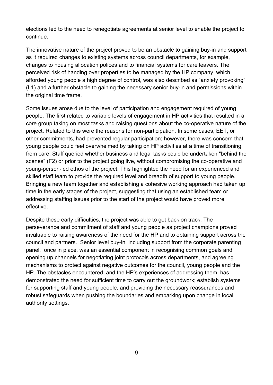elections led to the need to renegotiate agreements at senior level to enable the project to continue.

The innovative nature of the project proved to be an obstacle to gaining buy-in and support as it required changes to existing systems across council departments, for example, changes to housing allocation polices and to financial systems for care leavers. The perceived risk of handing over properties to be managed by the HP company, which afforded young people a high degree of control, was also described as "anxiety provoking" (L1) and a further obstacle to gaining the necessary senior buy-in and permissions within the original time frame.

Some issues arose due to the level of participation and engagement required of young people. The first related to variable levels of engagement in HP activities that resulted in a core group taking on most tasks and raising questions about the co-operative nature of the project. Related to this were the reasons for non-participation. In some cases, EET, or other commitments, had prevented regular participation; however, there was concern that young people could feel overwhelmed by taking on HP activities at a time of transitioning from care. Staff queried whether business and legal tasks could be undertaken "behind the scenes" (F2) or prior to the project going live, without compromising the co-operative and young-person-led ethos of the project. This highlighted the need for an experienced and skilled staff team to provide the required level and breadth of support to young people. Bringing a new team together and establishing a cohesive working approach had taken up time in the early stages of the project, suggesting that using an established team or addressing staffing issues prior to the start of the project would have proved more effective.

Despite these early difficulties, the project was able to get back on track. The perseverance and commitment of staff and young people as project champions proved invaluable to raising awareness of the need for the HP and to obtaining support across the council and partners. Senior level buy-in, including support from the corporate parenting panel, once in place, was an essential component in recognising common goals and opening up channels for negotiating joint protocols across departments, and agreeing mechanisms to protect against negative outcomes for the council, young people and the HP. The obstacles encountered, and the HP's experiences of addressing them, has demonstrated the need for sufficient time to carry out the groundwork; establish systems for supporting staff and young people, and providing the necessary reassurances and robust safeguards when pushing the boundaries and embarking upon change in local authority settings.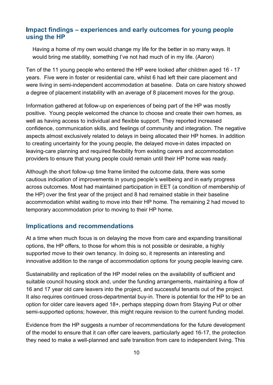## <span id="page-9-0"></span>**Impact findings – experiences and early outcomes for young people using the HP**

Having a home of my own would change my life for the better in so many ways. It would bring me stability, something I've not had much of in my life. (Aaron)

Ten of the 11 young people who entered the HP were looked after children aged 16 - 17 years. Five were in foster or residential care, whilst 6 had left their care placement and were living in semi-independent accommodation at baseline. Data on care history showed a degree of placement instability with an average of 8 placement moves for the group.

Information gathered at follow-up on experiences of being part of the HP was mostly positive. Young people welcomed the chance to choose and create their own homes, as well as having access to individual and flexible support. They reported increased confidence, communication skills, and feelings of community and integration. The negative aspects almost exclusively related to delays in being allocated their HP homes. In addition to creating uncertainty for the young people, the delayed move-in dates impacted on leaving-care planning and required flexibility from existing carers and accommodation providers to ensure that young people could remain until their HP home was ready.

Although the short follow-up time frame limited the outcome data, there was some cautious indication of improvements in young people's wellbeing and in early progress across outcomes. Most had maintained participation in EET (a condition of membership of the HP) over the first year of the project and 8 had remained stable in their baseline accommodation whilst waiting to move into their HP home. The remaining 2 had moved to temporary accommodation prior to moving to their HP home.

## <span id="page-9-1"></span>**Implications and recommendations**

At a time when much focus is on delaying the move from care and expanding transitional options, the HP offers, to those for whom this is not possible or desirable, a highly supported move to their own tenancy. In doing so, it represents an interesting and innovative addition to the range of accommodation options for young people leaving care.

Sustainability and replication of the HP model relies on the availability of sufficient and suitable council housing stock and, under the funding arrangements, maintaining a flow of 16 and 17 year old care leavers into the project, and successful tenants out of the project. It also requires continued cross-departmental buy-in. There is potential for the HP to be an option for older care leavers aged 18+, perhaps stepping down from Staying Put or other semi-supported options; however, this might require revision to the current funding model.

Evidence from the HP suggests a number of recommendations for the future development of the model to ensure that it can offer care leavers, particularly aged 16-17, the protection they need to make a well-planned and safe transition from care to independent living. This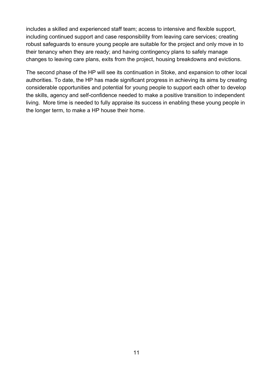includes a skilled and experienced staff team; access to intensive and flexible support, including continued support and case responsibility from leaving care services; creating robust safeguards to ensure young people are suitable for the project and only move in to their tenancy when they are ready; and having contingency plans to safely manage changes to leaving care plans, exits from the project, housing breakdowns and evictions.

The second phase of the HP will see its continuation in Stoke, and expansion to other local authorities. To date, the HP has made significant progress in achieving its aims by creating considerable opportunities and potential for young people to support each other to develop the skills, agency and self-confidence needed to make a positive transition to independent living. More time is needed to fully appraise its success in enabling these young people in the longer term, to make a HP house their home.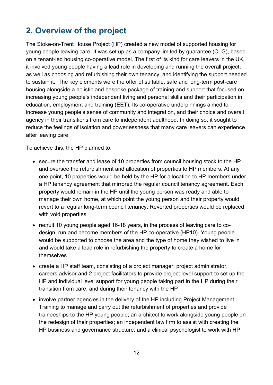# <span id="page-11-0"></span>**2. Overview of the project**

The Stoke-on-Trent House Project (HP) created a new model of supported housing for young people leaving care. It was set up as a company limited by guarantee (CLG), based on a tenant-led housing co-operative model. The first of its kind for care leavers in the UK, it involved young people having a lead role in developing and running the overall project, as well as choosing and refurbishing their own tenancy, and identifying the support needed to sustain it. The key elements were the offer of suitable, safe and long-term post-care housing alongside a holistic and bespoke package of training and support that focused on increasing young people's independent living and personal skills and their participation in education, employment and training (EET). Its co-operative underpinnings aimed to increase young people's sense of community and integration, and their choice and overall agency in their transitions from care to independent adulthood. In doing so, it sought to reduce the feelings of isolation and powerlessness that many care leavers can experience after leaving care.

To achieve this, the HP planned to:

- secure the transfer and lease of 10 properties from council housing stock to the HP and oversee the refurbishment and allocation of properties to HP members. At any one point, 10 properties would be held by the HP for allocation to HP members under a HP tenancy agreement that mirrored the regular council tenancy agreement. Each property would remain in the HP until the young person was ready and able to manage their own home, at which point the young person and their property would revert to a regular long-term council tenancy. Reverted properties would be replaced with void properties
- recruit 10 young people aged 16-18 years, in the process of leaving care to codesign, run and become members of the HP co-operative (HP10). Young people would be supported to choose the area and the type of home they wished to live in and would take a lead role in refurbishing the property to create a home for themselves
- create a HP staff team, consisting of a project manager, project administrator, careers advisor and 2 project facilitators to provide project level support to set up the HP and individual level support for young people taking part in the HP during their transition from care, and during their tenancy with the HP
- involve partner agencies in the delivery of the HP including Project Management Training to manage and carry out the refurbishment of properties and provide traineeships to the HP young people; an architect to work alongside young people on the redesign of their properties; an independent law firm to assist with creating the HP business and governance structure; and a clinical psychologist to work with HP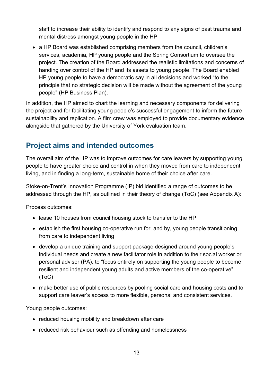staff to increase their ability to identify and respond to any signs of past trauma and mental distress amongst young people in the HP

• a HP Board was established comprising members from the council, children's services, academia, HP young people and the Spring Consortium to oversee the project. The creation of the Board addressed the realistic limitations and concerns of handing over control of the HP and its assets to young people. The Board enabled HP young people to have a democratic say in all decisions and worked "to the principle that no strategic decision will be made without the agreement of the young people" (HP Business Plan).

In addition, the HP aimed to chart the learning and necessary components for delivering the project and for facilitating young people's successful engagement to inform the future sustainability and replication. A film crew was employed to provide documentary evidence alongside that gathered by the University of York evaluation team.

## <span id="page-12-0"></span>**Project aims and intended outcomes**

The overall aim of the HP was to improve outcomes for care leavers by supporting young people to have greater choice and control in when they moved from care to independent living, and in finding a long-term, sustainable home of their choice after care.

Stoke-on-Trent's Innovation Programme (IP) bid identified a range of outcomes to be addressed through the HP, as outlined in their theory of change (ToC) (see Appendix A):

Process outcomes:

- lease 10 houses from council housing stock to transfer to the HP
- establish the first housing co-operative run for, and by, young people transitioning from care to independent living
- develop a unique training and support package designed around young people's individual needs and create a new facilitator role in addition to their social worker or personal adviser (PA), to "focus entirely on supporting the young people to become resilient and independent young adults and active members of the co-operative" (ToC)
- make better use of public resources by pooling social care and housing costs and to support care leaver's access to more flexible, personal and consistent services.

Young people outcomes:

- reduced housing mobility and breakdown after care
- reduced risk behaviour such as offending and homelessness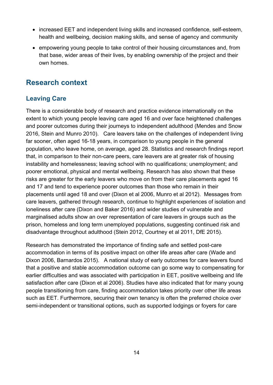- increased EET and independent living skills and increased confidence, self-esteem, health and wellbeing, decision making skills, and sense of agency and community
- empowering young people to take control of their housing circumstances and, from that base, wider areas of their lives, by enabling ownership of the project and their own homes.

## <span id="page-13-0"></span>**Research context**

## <span id="page-13-1"></span>**Leaving Care**

There is a considerable body of research and practice evidence internationally on the extent to which young people leaving care aged 16 and over face heightened challenges and poorer outcomes during their journeys to independent adulthood (Mendes and Snow 2016, Stein and Munro 2010). Care leavers take on the challenges of independent living far sooner, often aged 16-18 years, in comparison to young people in the general population, who leave home, on average, aged 28. Statistics and research findings report that, in comparison to their non-care peers, care leavers are at greater risk of housing instability and homelessness; leaving school with no qualifications; unemployment; and poorer emotional, physical and mental wellbeing. Research has also shown that these risks are greater for the early leavers who move on from their care placements aged 16 and 17 and tend to experience poorer outcomes than those who remain in their placements until aged 18 and over (Dixon et al 2006, Munro et al 2012). Messages from care leavers, gathered through research, continue to highlight experiences of isolation and loneliness after care (Dixon and Baker 2016) and wider studies of vulnerable and marginalised adults show an over representation of care leavers in groups such as the prison, homeless and long term unemployed populations, suggesting continued risk and disadvantage throughout adulthood (Stein 2012, Courtney et al 2011, DfE 2015).

Research has demonstrated the importance of finding safe and settled post-care accommodation in terms of its positive impact on other life areas after care (Wade and Dixon 2006, Barnardos 2015). A national study of early outcomes for care leavers found that a positive and stable accommodation outcome can go some way to compensating for earlier difficulties and was associated with participation in EET, positive wellbeing and life satisfaction after care (Dixon et al 2006). Studies have also indicated that for many young people transitioning from care, finding accommodation takes priority over other life areas such as EET. Furthermore, securing their own tenancy is often the preferred choice over semi-independent or transitional options, such as supported lodgings or foyers for care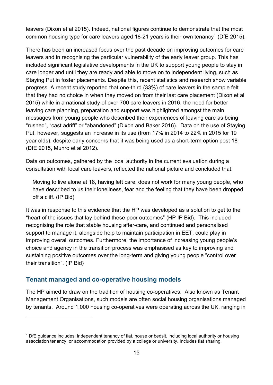leavers (Dixon et al 2015). Indeed, national figures continue to demonstrate that the most common housing type for care leavers aged [1](#page-14-1)8-21 years is their own tenancy<sup>1</sup> (DfE 2015).

There has been an increased focus over the past decade on improving outcomes for care leavers and in recognising the particular vulnerability of the early leaver group. This has included significant legislative developments in the UK to support young people to stay in care longer and until they are ready and able to move on to independent living, such as Staying Put in foster placements. Despite this, recent statistics and research show variable progress. A recent study reported that one-third (33%) of care leavers in the sample felt that they had no choice in when they moved on from their last care placement (Dixon et al 2015) while in a national study of over 700 care leavers in 2016, the need for better leaving care planning, preparation and support was highlighted amongst the main messages from young people who described their experiences of leaving care as being "rushed", "cast adrift" or "abandoned" (Dixon and Baker 2016). Data on the use of Staying Put, however, suggests an increase in its use (from 17% in 2014 to 22% in 2015 for 19 year olds), despite early concerns that it was being used as a short-term option post 18 (DfE 2015, Munro et al 2012).

Data on outcomes, gathered by the local authority in the current evaluation during a consultation with local care leavers, reflected the national picture and concluded that:

Moving to live alone at 18, having left care, does not work for many young people, who have described to us their loneliness, fear and the feeling that they have been dropped off a cliff. (IP Bid)

It was in response to this evidence that the HP was developed as a solution to get to the "heart of the issues that lay behind these poor outcomes" (HP IP Bid). This included recognising the role that stable housing after-care, and continued and personalised support to manage it, alongside help to maintain participation in EET, could play in improving overall outcomes. Furthermore, the importance of increasing young people's choice and agency in the transition process was emphasised as key to improving and sustaining positive outcomes over the long-term and giving young people "control over their transition". (IP Bid)

#### <span id="page-14-0"></span>**Tenant managed and co-operative housing models**

 $\overline{a}$ 

The HP aimed to draw on the tradition of housing co-operatives. Also known as Tenant Management Organisations, such models are often social housing organisations managed by tenants. Around 1,000 housing co-operatives were operating across the UK, ranging in

<span id="page-14-1"></span><sup>1</sup> DfE guidance includes: independent tenancy of flat, house or bedsit, including local authority or housing association tenancy, or accommodation provided by a college or university. Includes flat sharing.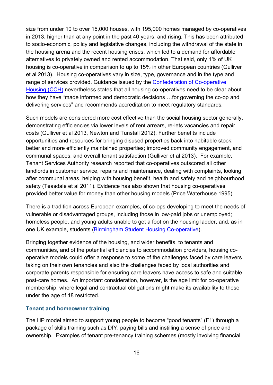size from under 10 to over 15,000 houses, with 195,000 homes managed by co-operatives in 2013, higher than at any point in the past 40 years, and rising. This has been attributed to socio-economic, policy and legislative changes, including the withdrawal of the state in the housing arena and the recent housing crises, which led to a demand for affordable alternatives to privately owned and rented accommodation. That said, only 1% of UK housing is co-operative in comparison to up to 15% in other European countries (Gulliver et al 2013). Housing co-operatives vary in size, type, governance and in the type and range of services provided. Guidance issued by the [Confederation of Co-operative](http://www.cch.coop/)  [Housing \(CCH\)](http://www.cch.coop/) nevertheless states that all housing co-operatives need to be clear about how they have *"*made informed and democratic decisions …for governing the co-op and delivering services" and recommends accreditation to meet regulatory standards*.*

Such models are considered more cost effective than the social housing sector generally, demonstrating efficiencies via lower levels of rent arrears, re-lets vacancies and repair costs (Gulliver et al 2013, Newton and Tunstall 2012). Further benefits include opportunities and resources for bringing disused properties back into habitable stock; better and more efficiently maintained properties; improved community engagement, and communal spaces, and overall tenant satisfaction (Gulliver et al 2013). For example, Tenant Services Authority research reported that co-operatives outscored all other landlords in customer service, repairs and maintenance, dealing with complaints, looking after communal areas, helping with housing benefit, health and safety and neighbourhood safety (Teasdale et al 2011). Evidence has also shown that housing co-operatives provided better value for money than other housing models (Price Waterhouse 1995).

There is a tradition across European examples, of co-ops developing to meet the needs of vulnerable or disadvantaged groups, including those in low-paid jobs or unemployed; homeless people, and young adults unable to get a foot on the housing ladder, and, as in one UK example, students [\(Birmingham Student Housing Co-operative\)](http://www.students.coop/our-network/birmingham-student-housing-co-operative/).

Bringing together evidence of the housing, and wider benefits, to tenants and communities, and of the potential efficiencies to accommodation providers, housing cooperative models could offer a response to some of the challenges faced by care leavers taking on their own tenancies and also the challenges faced by local authorities and corporate parents responsible for ensuring care leavers have access to safe and suitable post-care homes. An important consideration, however, is the age limit for co-operative membership, where legal and contractual obligations might make its availability to those under the age of 18 restricted.

#### **Tenant and homeowner training**

The HP model aimed to support young people to become "good tenants" (F1) through a package of skills training such as DIY, paying bills and instilling a sense of pride and ownership. Examples of tenant pre-tenancy training schemes (mostly involving financial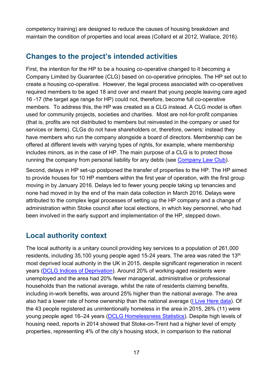competency training) are designed to reduce the causes of housing breakdown and maintain the condition of properties and local areas (Collard et al 2012, Wallace, 2016).

## <span id="page-16-0"></span>**Changes to the project's intended activities**

First, the intention for the HP to be a housing co-operative changed to it becoming a Company Limited by Guarantee (CLG) based on co-operative principles. The HP set out to create a housing co-operative. However, the legal process associated with co-operatives required members to be aged 18 and over and meant that young people leaving care aged 16 -17 (the target age range for HP) could not, therefore, become full co-operative members. To address this, the HP was created as a CLG instead. A CLG model is often used for community projects, societies and charities. Most are not-for-profit companies (that is, profits are not distributed to members but reinvested in the company or used for services or items). CLGs do not have shareholders or, therefore, owners: instead they have members who run the company alongside a board of directors. Membership can be offered at different levels with varying types of rights, for example, where membership includes minors, as in the case of HP. The main purpose of a CLG is to protect those running the company from personal liability for any debts (see [Company Law Club\)](http://www.companylawclub.co.uk/companies-limited-by-guarantee).

Second, delays in HP set-up postponed the transfer of properties to the HP. The HP aimed to provide houses for 10 HP members within the first year of operation, with the first group moving in by January 2016. Delays led to fewer young people taking up tenancies and none had moved in by the end of the main data collection in March 2016. Delays were attributed to the complex legal processes of setting up the HP company and a change of administration within Stoke council after local elections, in which key personnel, who had been involved in the early support and implementation of the HP, stepped down.

## <span id="page-16-1"></span>**Local authority context**

The local authority is a unitary council providing key services to a population of 261,000 residents, including 35,100 young people aged 15-24 years. The area was rated the 13<sup>th</sup> most deprived local authority in the UK in 2015, despite significant regeneration in recent years [\(DCLG Indices of Deprivation\)](https://www.gov.uk/government/uploads/system/uploads/attachment_data/file/465791/English_Indices_of_Deprivation_2015_-_Statistical_Release.pdf). Around 20% of working-aged residents were unemployed and the area had 20% fewer managerial, administrative or professional households than the national average, whilst the rate of residents claiming benefits, including in-work benefits, was around 25% higher than the national average. The area also had a lower rate of home ownership than the national average [\(I Live Here data\)](http://www.ilivehere.co.uk/). Of the 43 people registered as unintentionally homeless in the area in 2015, 26% (11) were young people aged 16–24 years [\(DCLG Homelessness Statistics\)](https://www.gov.uk/government/statistical-data-sets/live-tables-on-homelessness). Despite high levels of housing need, reports in 2014 showed that Stoke-on-Trent had a higher level of empty properties, representing 4% of the city's housing stock, in comparison to the national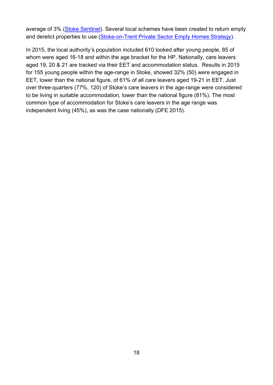average of 3% [\(Stoke Sentinel\)](http://www.stokesentinel.co.uk/city-council-strategy-tackle-issue-5-000-homes/story-21022581-detail/story.html%23mIvfR75s8HKepTSb.99). Several local schemes have been created to return empty and derelict properties to use [\(Stoke-on-Trent Private Sector Empty Homes Strategy\)](http://www.stoke.gov.uk/ccm/navigation/housing/private-sector-housing/empty-homes/).

In 2015, the local authority's population included 610 looked after young people, 85 of whom were aged 16-18 and within the age bracket for the HP. Nationally, care leavers aged 19, 20 & 21 are tracked via their EET and accommodation status. Results in 2015 for 155 young people within the age-range in Stoke, showed 32% (50) were engaged in EET, lower than the national figure, of 61% of all care leavers aged 19-21 in EET. Just over three-quarters (77%, 120) of Stoke's care leavers in the age-range were considered to be living in suitable accommodation, lower than the national figure (81%). The most common type of accommodation for Stoke's care leavers in the age range was independent living (45%), as was the case nationally (DFE 2015).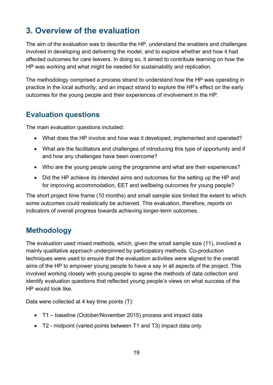# <span id="page-18-0"></span>**3. Overview of the evaluation**

The aim of the evaluation was to describe the HP, understand the enablers and challenges involved in developing and delivering the model, and to explore whether and how it had affected outcomes for care leavers. In doing so, it aimed to contribute learning on how the HP was working and what might be needed for sustainability and replication.

The methodology comprised a process strand to understand how the HP was operating in practice in the local authority; and an impact strand to explore the HP's effect on the early outcomes for the young people and their experiences of involvement in the HP.

## <span id="page-18-1"></span>**Evaluation questions**

The main evaluation questions included:

- What does the HP involve and how was it developed, implemented and operated?
- What are the facilitators and challenges of introducing this type of opportunity and if and how any challenges have been overcome?
- Who are the young people using the programme and what are their experiences?
- Did the HP achieve its intended aims and outcomes for the setting up the HP and for improving accommodation, EET and wellbeing outcomes for young people?

The short project time frame (10 months) and small sample size limited the extent to which some outcomes could realistically be achieved. This evaluation, therefore, reports on indicators of overall progress towards achieving longer-term outcomes.

## <span id="page-18-2"></span>**Methodology**

The evaluation used mixed methods, which, given the small sample size (11), involved a mainly qualitative approach underpinned by participatory methods. Co-production techniques were used to ensure that the evaluation activities were aligned to the overall aims of the HP to empower young people to have a say in all aspects of the project. This involved working closely with young people to agree the methods of data collection and identify evaluation questions that reflected young people's views on what success of the HP would look like.

Data were collected at 4 key time points (T):

- T1 baseline (October/November 2015) process and impact data
- T2 midpoint (varied points between T1 and T3) impact data only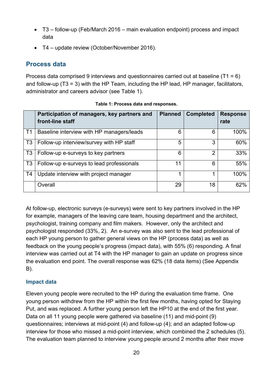- T3 follow-up (Feb/March 2016 main evaluation endpoint) process and impact data
- T4 update review (October/November 2016).

## <span id="page-19-0"></span>**Process data**

Process data comprised 9 interviews and questionnaires carried out at baseline (T1 = 6) and follow-up (T3 = 3) with the HP Team, including the HP lead, HP manager, facilitators, administrator and careers advisor (see Table 1).

<span id="page-19-1"></span>

|                | Participation of managers, key partners and<br>front-line staff | <b>Planned</b> | <b>Completed</b> | <b>Response</b><br>rate |
|----------------|-----------------------------------------------------------------|----------------|------------------|-------------------------|
| T1             | Baseline interview with HP managers/leads                       | 6              | 6                | 100%                    |
| T <sub>3</sub> | Follow-up interview/survey with HP staff                        | 5              | 3                | 60%                     |
| T <sub>3</sub> | Follow-up e-surveys to key partners                             | 6              | 2                | 33%                     |
| T <sub>3</sub> | Follow-up e-surveys to lead professionals                       | 11             | 6                | 55%                     |
| T4             | Update interview with project manager                           | 1              |                  | 100%                    |
|                | Overall                                                         | 29             | 18               | 62%                     |

At follow-up, electronic surveys (e-surveys) were sent to key partners involved in the HP for example, managers of the leaving care team, housing department and the architect, psychologist, training company and film makers. However, only the architect and psychologist responded (33%, 2). An e-survey was also sent to the lead professional of each HP young person to gather general views on the HP (process data) as well as feedback on the young people's progress (impact data), with 55% (6) responding. A final interview was carried out at T4 with the HP manager to gain an update on progress since the evaluation end point. The overall response was 62% (18 data items) (See Appendix B).

## **Impact data**

Eleven young people were recruited to the HP during the evaluation time frame. One young person withdrew from the HP within the first few months, having opted for Staying Put, and was replaced. A further young person left the HP10 at the end of the first year. Data on all 11 young people were gathered via baseline (11) and mid-point (9) questionnaires; interviews at mid-point (4) and follow-up (4); and an adapted follow-up interview for those who missed a mid-point interview, which combined the 2 schedules (5). The evaluation team planned to interview young people around 2 months after their move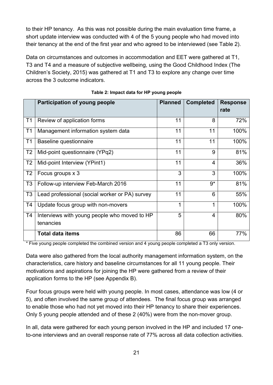to their HP tenancy. As this was not possible during the main evaluation time frame, a short update interview was conducted with 4 of the 5 young people who had moved into their tenancy at the end of the first year and who agreed to be interviewed (see Table 2).

Data on circumstances and outcomes in accommodation and EET were gathered at T1, T3 and T4 and a measure of subjective wellbeing, using the Good Childhood Index (The Children's Society, 2015) was gathered at T1 and T3 to explore any change over time across the 3 outcome indicators.

<span id="page-20-0"></span>

|                | <b>Participation of young people</b>                                         | <b>Planned</b> | <b>Completed</b> | <b>Response</b><br>rate |
|----------------|------------------------------------------------------------------------------|----------------|------------------|-------------------------|
| T <sub>1</sub> | Review of application forms                                                  | 11             | 8                | 72%                     |
| T <sub>1</sub> | Management information system data                                           | 11             | 11               | 100%                    |
| T <sub>1</sub> | Baseline questionnaire                                                       | 11             | 11               | 100%                    |
| T <sub>2</sub> | Mid-point questionnaire (YPq2)                                               | 11             | 9                | 81%                     |
| T <sub>2</sub> | Mid-point Interview (YPint1)                                                 | 11             | $\overline{4}$   | 36%                     |
| T <sub>2</sub> | Focus groups x 3                                                             | 3              | 3                | 100%                    |
| T <sub>3</sub> | Follow-up interview Feb-March 2016                                           | 11             | $9*$             | 81%                     |
| T <sub>3</sub> | Lead professional (social worker or PA) survey                               | 11             | 6                | 55%                     |
| T4             | Update focus group with non-movers                                           | 1              |                  | 100%                    |
| <b>T4</b>      | Interviews with young people who moved to HP<br>tenancies                    | 5              | 4                | 80%                     |
|                | <b>Total data items</b><br><b><i>Contract Contract Contract Contract</i></b> | 86             | 66               | 77%                     |

**Table 2: Impact data for HP young people**

\* Five young people completed the combined version and 4 young people completed a T3 only version.

Data were also gathered from the local authority management information system, on the characteristics, care history and baseline circumstances for all 11 young people. Their motivations and aspirations for joining the HP were gathered from a review of their application forms to the HP (see Appendix B).

Four focus groups were held with young people. In most cases, attendance was low (4 or 5), and often involved the same group of attendees. The final focus group was arranged to enable those who had not yet moved into their HP tenancy to share their experiences. Only 5 young people attended and of these 2 (40%) were from the non-mover group.

In all, data were gathered for each young person involved in the HP and included 17 oneto-one interviews and an overall response rate of 77% across all data collection activities.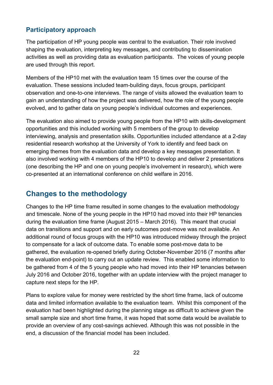## <span id="page-21-0"></span>**Participatory approach**

The participation of HP young people was central to the evaluation. Their role involved shaping the evaluation, interpreting key messages, and contributing to dissemination activities as well as providing data as evaluation participants. The voices of young people are used through this report.

Members of the HP10 met with the evaluation team 15 times over the course of the evaluation. These sessions included team-building days, focus groups, participant observation and one-to-one interviews. The range of visits allowed the evaluation team to gain an understanding of how the project was delivered, how the role of the young people evolved, and to gather data on young people's individual outcomes and experiences.

The evaluation also aimed to provide young people from the HP10 with skills-development opportunities and this included working with 5 members of the group to develop interviewing, analysis and presentation skills. Opportunities included attendance at a 2-day residential research workshop at the University of York to identify and feed back on emerging themes from the evaluation data and develop a key messages presentation. It also involved working with 4 members of the HP10 to develop and deliver 2 presentations (one describing the HP and one on young people's involvement in research), which were co-presented at an international conference on child welfare in 2016.

## <span id="page-21-1"></span>**Changes to the methodology**

Changes to the HP time frame resulted in some changes to the evaluation methodology and timescale. None of the young people in the HP10 had moved into their HP tenancies during the evaluation time frame (August 2015 – March 2016). This meant that crucial data on transitions and support and on early outcomes post-move was not available. An additional round of focus groups with the HP10 was introduced midway through the project to compensate for a lack of outcome data. To enable some post-move data to be gathered, the evaluation re-opened briefly during October-November 2016 (7 months after the evaluation end-point) to carry out an update review. This enabled some information to be gathered from 4 of the 5 young people who had moved into their HP tenancies between July 2016 and October 2016, together with an update interview with the project manager to capture next steps for the HP.

Plans to explore value for money were restricted by the short time frame, lack of outcome data and limited information available to the evaluation team. Whilst this component of the evaluation had been highlighted during the planning stage as difficult to achieve given the small sample size and short time frame, it was hoped that some data would be available to provide an overview of any cost-savings achieved. Although this was not possible in the end, a discussion of the financial model has been included.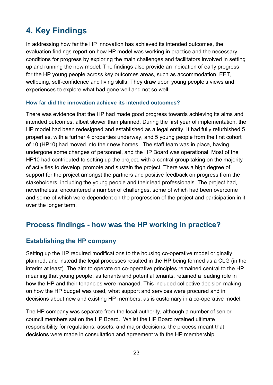# <span id="page-22-0"></span>**4. Key Findings**

In addressing how far the HP innovation has achieved its intended outcomes, the evaluation findings report on how HP model was working in practice and the necessary conditions for progress by exploring the main challenges and facilitators involved in setting up and running the new model. The findings also provide an indication of early progress for the HP young people across key outcomes areas, such as accommodation, EET, wellbeing, self-confidence and living skills. They draw upon young people's views and experiences to explore what had gone well and not so well.

#### **How far did the innovation achieve its intended outcomes?**

There was evidence that the HP had made good progress towards achieving its aims and intended outcomes, albeit slower than planned. During the first year of implementation, the HP model had been redesigned and established as a legal entity. It had fully refurbished 5 properties, with a further 4 properties underway, and 5 young people from the first cohort of 10 (HP10) had moved into their new homes. The staff team was in place, having undergone some changes of personnel, and the HP Board was operational. Most of the HP10 had contributed to setting up the project, with a central group taking on the majority of activities to develop, promote and sustain the project. There was a high degree of support for the project amongst the partners and positive feedback on progress from the stakeholders, including the young people and their lead professionals. The project had, nevertheless, encountered a number of challenges, some of which had been overcome and some of which were dependent on the progression of the project and participation in it, over the longer term.

## <span id="page-22-1"></span>**Process findings - how was the HP working in practice?**

## <span id="page-22-2"></span>**Establishing the HP company**

Setting up the HP required modifications to the housing co-operative model originally planned, and instead the legal processes resulted in the HP being formed as a CLG (in the interim at least). The aim to operate on co-operative principles remained central to the HP, meaning that young people, as tenants and potential tenants, retained a leading role in how the HP and their tenancies were managed. This included collective decision making on how the HP budget was used, what support and services were procured and in decisions about new and existing HP members, as is customary in a co-operative model.

The HP company was separate from the local authority, although a number of senior council members sat on the HP Board. Whilst the HP Board retained ultimate responsibility for regulations, assets, and major decisions, the process meant that decisions were made in consultation and agreement with the HP membership.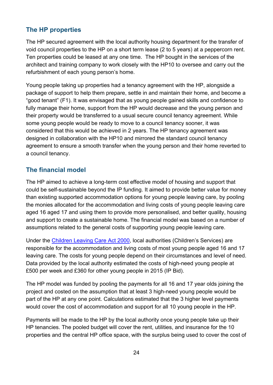## <span id="page-23-0"></span>**The HP properties**

The HP secured agreement with the local authority housing department for the transfer of void council properties to the HP on a short term lease (2 to 5 years) at a peppercorn rent. Ten properties could be leased at any one time. The HP bought in the services of the architect and training company to work closely with the HP10 to oversee and carry out the refurbishment of each young person's home.

Young people taking up properties had a tenancy agreement with the HP, alongside a package of support to help them prepare, settle in and maintain their home, and become a "good tenant" (F1). It was envisaged that as young people gained skills and confidence to fully manage their home, support from the HP would decrease and the young person and their property would be transferred to a usual secure council tenancy agreement. While some young people would be ready to move to a council tenancy sooner, it was considered that this would be achieved in 2 years. The HP tenancy agreement was designed in collaboration with the HP10 and mirrored the standard council tenancy agreement to ensure a smooth transfer when the young person and their home reverted to a council tenancy.

## <span id="page-23-1"></span>**The financial model**

The HP aimed to achieve a long-term cost effective model of housing and support that could be self-sustainable beyond the IP funding. It aimed to provide better value for money than existing supported accommodation options for young people leaving care, by pooling the monies allocated for the accommodation and living costs of young people leaving care aged 16 aged 17 and using them to provide more personalised, and better quality, housing and support to create a sustainable home. The financial model was based on a number of assumptions related to the general costs of supporting young people leaving care.

Under the [Children Leaving Care Act 2000,](http://www.legislation.gov.uk/ukpga/2000/35/contents) local authorities (Children's Services) are responsible for the accommodation and living costs of most young people aged 16 and 17 leaving care. The costs for young people depend on their circumstances and level of need. Data provided by the local authority estimated the costs of high-need young people at £500 per week and £360 for other young people in 2015 (IP Bid).

The HP model was funded by pooling the payments for all 16 and 17 year olds joining the project and costed on the assumption that at least 3 high-need young people would be part of the HP at any one point. Calculations estimated that the 3 higher level payments would cover the cost of accommodation and support for all 10 young people in the HP.

Payments will be made to the HP by the local authority once young people take up their HP tenancies. The pooled budget will cover the rent, utilities, and insurance for the 10 properties and the central HP office space, with the surplus being used to cover the cost of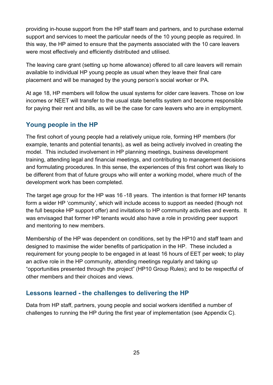providing in-house support from the HP staff team and partners, and to purchase external support and services to meet the particular needs of the 10 young people as required. In this way, the HP aimed to ensure that the payments associated with the 10 care leavers were most effectively and efficiently distributed and utilised.

The leaving care grant (setting up home allowance) offered to all care leavers will remain available to individual HP young people as usual when they leave their final care placement and will be managed by the young person's social worker or PA.

At age 18, HP members will follow the usual systems for older care leavers. Those on low incomes or NEET will transfer to the usual state benefits system and become responsible for paying their rent and bills, as will be the case for care leavers who are in employment.

## <span id="page-24-0"></span>**Young people in the HP**

The first cohort of young people had a relatively unique role, forming HP members (for example, tenants and potential tenants), as well as being actively involved in creating the model. This included involvement in HP planning meetings, business development training, attending legal and financial meetings, and contributing to management decisions and formulating procedures. In this sense, the experiences of this first cohort was likely to be different from that of future groups who will enter a working model, where much of the development work has been completed.

The target age group for the HP was 16 -18 years. The intention is that former HP tenants form a wider HP 'community', which will include access to support as needed (though not the full bespoke HP support offer) and invitations to HP community activities and events. It was envisaged that former HP tenants would also have a role in providing peer support and mentoring to new members.

Membership of the HP was dependent on conditions, set by the HP10 and staff team and designed to maximise the wider benefits of participation in the HP. These included a requirement for young people to be engaged in at least 16 hours of EET per week; to play an active role in the HP community, attending meetings regularly and taking up "opportunities presented through the project" (HP10 Group Rules); and to be respectful of other members and their choices and views.

## <span id="page-24-1"></span>**Lessons learned - the challenges to delivering the HP**

Data from HP staff, partners, young people and social workers identified a number of challenges to running the HP during the first year of implementation (see Appendix C).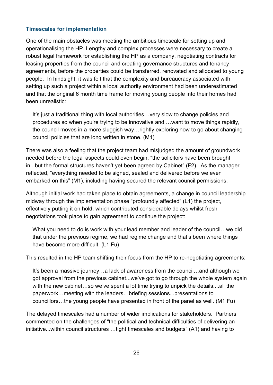#### **Timescales for implementation**

One of the main obstacles was meeting the ambitious timescale for setting up and operationalising the HP. Lengthy and complex processes were necessary to create a robust legal framework for establishing the HP as a company, negotiating contracts for leasing properties from the council and creating governance structures and tenancy agreements, before the properties could be transferred, renovated and allocated to young people. In hindsight, it was felt that the complexity and bureaucracy associated with setting up such a project within a local authority environment had been underestimated and that the original 6 month time frame for moving young people into their homes had been unrealistic:

It's just a traditional thing with local authorities…very slow to change policies and procedures so when you're trying to be innovative and …want to move things rapidly, the council moves in a more sluggish way…rightly exploring how to go about changing council policies that are long written in stone. (M1)

There was also a feeling that the project team had misjudged the amount of groundwork needed before the legal aspects could even begin, "the solicitors have been brought in...but the formal structures haven't yet been agreed by Cabinet" (F2). As the manager reflected, "everything needed to be signed, sealed and delivered before we even embarked on this" (M1), including having secured the relevant council permissions.

Although initial work had taken place to obtain agreements, a change in council leadership midway through the implementation phase "profoundly affected" (L1) the project, effectively putting it on hold, which contributed considerable delays whilst fresh negotiations took place to gain agreement to continue the project:

What you need to do is work with your lead member and leader of the council...we did that under the previous regime, we had regime change and that's been where things have become more difficult. (L1 Fu)

This resulted in the HP team shifting their focus from the HP to re-negotiating agreements:

It's been a massive journey…a lack of awareness from the council…and although we got approval from the previous cabinet...we've got to go through the whole system again with the new cabinet...so we've spent a lot time trying to unpick the details....all the paperwork…meeting with the leaders…briefing sessions...presentations to councillors…the young people have presented in front of the panel as well. (M1 Fu)

The delayed timescales had a number of wider implications for stakeholders. Partners commented on the challenges of "the political and technical difficulties of delivering an initiative...within council structures …tight timescales and budgets" (A1) and having to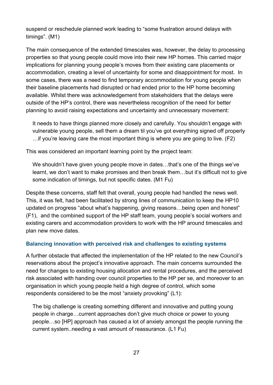suspend or reschedule planned work leading to "some frustration around delays with timings". (M1)

The main consequence of the extended timescales was, however, the delay to processing properties so that young people could move into their new HP homes. This carried major implications for planning young people's moves from their existing care placements or accommodation, creating a level of uncertainty for some and disappointment for most. In some cases, there was a need to find temporary accommodation for young people when their baseline placements had disrupted or had ended prior to the HP home becoming available. Whilst there was acknowledgement from stakeholders that the delays were outside of the HP's control, there was nevertheless recognition of the need for better planning to avoid raising expectations and uncertainty and unnecessary movement:

It needs to have things planned more closely and carefully. You shouldn't engage with vulnerable young people, sell them a dream til you've got everything signed off properly …if you're leaving care the most important thing is where you are going to live. (F2)

This was considered an important learning point by the project team:

We shouldn't have given young people move in dates...that's one of the things we've learnt, we don't want to make promises and then break them…but it's difficult not to give some indication of timings, but not specific dates. (M1 Fu)

Despite these concerns, staff felt that overall, young people had handled the news well. This, it was felt, had been facilitated by strong lines of communication to keep the HP10 updated on progress "about what's happening, giving reasons…being open and honest" (F1), and the combined support of the HP staff team, young people's social workers and existing carers and accommodation providers to work with the HP around timescales and plan new move dates.

#### **Balancing innovation with perceived risk and challenges to existing systems**

A further obstacle that affected the implementation of the HP related to the new Council's reservations about the project's innovative approach. The main concerns surrounded the need for changes to existing housing allocation and rental procedures, and the perceived risk associated with handing over council properties to the HP per se, and moreover to an organisation in which young people held a high degree of control, which some respondents considered to be the most "anxiety provoking" (L1):

The big challenge is creating something different and innovative and putting young people in charge…current approaches don't give much choice or power to young people…so [HP] approach has caused a lot of anxiety amongst the people running the current system..needing a vast amount of reassurance. (L1 Fu)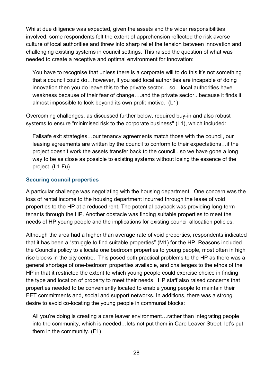Whilst due diligence was expected, given the assets and the wider responsibilities involved, some respondents felt the extent of apprehension reflected the risk averse culture of local authorities and threw into sharp relief the tension between innovation and challenging existing systems in council settings. This raised the question of what was needed to create a receptive and optimal environment for innovation:

You have to recognise that unless there is a corporate will to do this it's not something that a council could do…however, if you said local authorities are incapable of doing innovation then you do leave this to the private sector… so…local authorities have weakness because of their fear of change….and the private sector...because it finds it almost impossible to look beyond its own profit motive. (L1)

Overcoming challenges, as discussed further below, required buy-in and also robust systems to ensure "minimised risk to the corporate business" (L1), which included:

Failsafe exit strategies…our tenancy agreements match those with the council, our leasing agreements are written by the council to conform to their expectations…if the project doesn't work the assets transfer back to the council...so we have gone a long way to be as close as possible to existing systems without losing the essence of the project. (L1 Fu)

#### **Securing council properties**

A particular challenge was negotiating with the housing department. One concern was the loss of rental income to the housing department incurred through the lease of void properties to the HP at a reduced rent. The potential payback was providing long-term tenants through the HP. Another obstacle was finding suitable properties to meet the needs of HP young people and the implications for existing council allocation policies.

Although the area had a higher than average rate of void properties, respondents indicated that it has been a "struggle to find suitable properties" (M1) for the HP. Reasons included the Councils policy to allocate one bedroom properties to young people, most often in high rise blocks in the city centre. This posed both practical problems to the HP as there was a general shortage of one-bedroom properties available, and challenges to the ethos of the HP in that it restricted the extent to which young people could exercise choice in finding the type and location of property to meet their needs. HP staff also raised concerns that properties needed to be conveniently located to enable young people to maintain their EET commitments and, social and support networks. In additions, there was a strong desire to avoid co-locating the young people in communal blocks:

All you're doing is creating a care leaver environment…rather than integrating people into the community, which is needed…lets not put them in Care Leaver Street, let's put them in the community. (F1)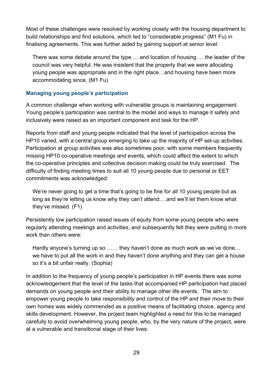Most of these challenges were resolved by working closely with the housing department to build relationships and find solutions, which led to "considerable progress" (M1 Fu) in finalising agreements. This was further aided by gaining support at senior level:

There was some debate around the type … and location of housing … the leader of the council was very helpful. He was insistent that the property that we were allocating young people was appropriate and in the right place…and housing have been more accommodating since. (M1 Fu)

#### **Managing young people's participation**

A common challenge when working with vulnerable groups is maintaining engagement. Young people's participation was central to the model and ways to manage it safely and inclusively were raised as an important component and task for the HP.

Reports from staff and young people indicated that the level of participation across the HP10 varied, with a central group emerging to take up the majority of HP set-up activities. Participation at group activities was also sometimes poor, with some members frequently missing HP10 co-operative meetings and events, which could affect the extent to which the co-operative principles and collective decision making could be truly exercised. The difficulty of finding meeting times to suit all 10 young people due to personal or EET commitments was acknowledged:

We're never going to get a time that's going to be fine for all 10 young people but as long as they're letting us know why they can't attend….and we'll let them know what they've missed. (F1)

Persistently low participation raised issues of equity from some young people who were regularly attending meetings and activities, and subsequently felt they were putting in more work than others were:

Hardly anyone's turning up so …… they haven't done as much work as we've done… we have to put all the work in and they haven't done anything and they can get a house so it's a bit unfair really. (Sophia)

In addition to the frequency of young people's participation in HP events there was some acknowledgement that the level of the tasks that accompanied HP participation had placed demands on young people and their ability to manage other life events. The aim to empower young people to take responsibility and control of the HP and their move to their own homes was widely commended as a positive means of facilitating choice, agency and skills development. However, the project team highlighted a need for this to be managed carefully to avoid overwhelming young people, who, by the very nature of the project, were at a vulnerable and transitional stage of their lives: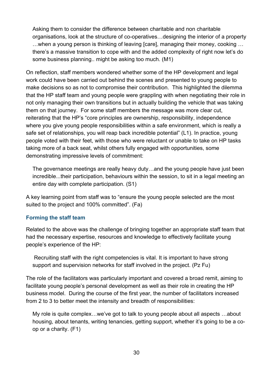Asking them to consider the difference between charitable and non charitable organisations, look at the structure of co-operatives…designing the interior of a property …when a young person is thinking of leaving [care], managing their money, cooking … there's a massive transition to cope with and the added complexity of right now let's do some business planning.. might be asking too much. (M1)

On reflection, staff members wondered whether some of the HP development and legal work could have been carried out behind the scenes and presented to young people to make decisions so as not to compromise their contribution. This highlighted the dilemma that the HP staff team and young people were grappling with when negotiating their role in not only managing their own transitions but in actually building the vehicle that was taking them on that journey. For some staff members the message was more clear cut, reiterating that the HP's "core principles are ownership, responsibility, independence where you give young people responsibilities within a safe environment, which is really a safe set of relationships, you will reap back incredible potential" (L1). In practice, young people voted with their feet, with those who were reluctant or unable to take on HP tasks taking more of a back seat, whilst others fully engaged with opportunities, some demonstrating impressive levels of commitment:

The governance meetings are really heavy duty…and the young people have just been incredible...their participation, behaviours within the session, to sit in a legal meeting an entire day with complete participation. (S1)

A key learning point from staff was to "ensure the young people selected are the most suited to the project and 100% committed". (Fa)

#### **Forming the staff team**

Related to the above was the challenge of bringing together an appropriate staff team that had the necessary expertise, resources and knowledge to effectively facilitate young people's experience of the HP:

Recruiting staff with the right competencies is vital. It is important to have strong support and supervision networks for staff involved in the project. (Pz Fu)

The role of the facilitators was particularly important and covered a broad remit, aiming to facilitate young people's personal development as well as their role in creating the HP business model. During the course of the first year, the number of facilitators increased from 2 to 3 to better meet the intensity and breadth of responsibilities:

My role is quite complex…we've got to talk to young people about all aspects …about housing, about tenants, writing tenancies, getting support, whether it's going to be a coop or a charity. (F1)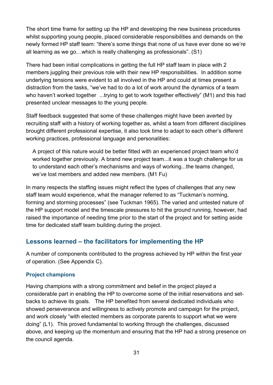The short time frame for setting up the HP and developing the new business procedures whilst supporting young people, placed considerable responsibilities and demands on the newly formed HP staff team: "there's some things that none of us have ever done so we're all learning as we go…which is really challenging as professionals". (S1)

There had been initial complications in getting the full HP staff team in place with 2 members juggling their previous role with their new HP responsibilities. In addition some underlying tensions were evident to all involved in the HP and could at times present a distraction from the tasks, "we've had to do a lot of work around the dynamics of a team who haven't worked together ...trying to get to work together effectively" (M1) and this had presented unclear messages to the young people.

Staff feedback suggested that some of these challenges might have been averted by recruiting staff with a history of working together as, whilst a team from different disciplines brought different professional expertise, it also took time to adapt to each other's different working practices, professional language and personalities:

A project of this nature would be better fitted with an experienced project team who'd worked together previously. A brand new project team...it was a tough challenge for us to understand each other's mechanisms and ways of working...the teams changed, we've lost members and added new members. (M1 Fu)

In many respects the staffing issues might reflect the types of challenges that any new staff team would experience, what the manager referred to as "Tuckman's norming, forming and storming processes" (see Tuckman 1965). The varied and untested nature of the HP support model and the timescale pressures to hit the ground running, however, had raised the importance of needing time prior to the start of the project and for setting aside time for dedicated staff team building during the project.

## <span id="page-30-0"></span>**Lessons learned – the facilitators for implementing the HP**

A number of components contributed to the progress achieved by HP within the first year of operation. (See Appendix C).

#### **Project champions**

Having champions with a strong commitment and belief in the project played a considerable part in enabling the HP to overcome some of the initial reservations and setbacks to achieve its goals. The HP benefited from several dedicated individuals who showed perseverance and willingness to actively promote and campaign for the project, and work closely "with elected members as corporate parents to support what we were doing" (L1). This proved fundamental to working through the challenges, discussed above, and keeping up the momentum and ensuring that the HP had a strong presence on the council agenda.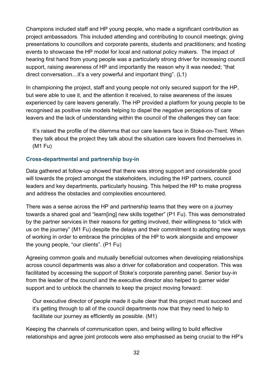Champions included staff and HP young people, who made a significant contribution as project ambassadors. This included attending and contributing to council meetings; giving presentations to councillors and corporate parents, students and practitioners; and hosting events to showcase the HP model for local and national policy makers. The impact of hearing first hand from young people was a particularly strong driver for increasing council support, raising awareness of HP and importantly the reason why it was needed; "that direct conversation…it's a very powerful and important thing". (L1)

In championing the project, staff and young people not only secured support for the HP, but were able to use it, and the attention it received, to raise awareness of the issues experienced by care leavers generally. The HP provided a platform for young people to be recognised as positive role models helping to dispel the negative perceptions of care leavers and the lack of understanding within the council of the challenges they can face:

It's raised the profile of the dilemma that our care leavers face in Stoke-on-Trent. When they talk about the project they talk about the situation care leavers find themselves in. (M1 Fu)

#### **Cross-departmental and partnership buy-in**

Data gathered at follow-up showed that there was strong support and considerable good will towards the project amongst the stakeholders, including the HP partners, council leaders and key departments, particularly housing. This helped the HP to make progress and address the obstacles and complexities encountered.

There was a sense across the HP and partnership teams that they were on a journey towards a shared goal and "learn[ing] new skills together" (P1 Fu). This was demonstrated by the partner services in their reasons for getting involved, their willingness to "stick with us on the journey" (M1 Fu) despite the delays and their commitment to adopting new ways of working in order to embrace the principles of the HP to work alongside and empower the young people, "our clients". (P1 Fu)

Agreeing common goals and mutually beneficial outcomes when developing relationships across council departments was also a driver for collaboration and cooperation. This was facilitated by accessing the support of Stoke's corporate parenting panel. Senior buy-in from the leader of the council and the executive director also helped to garner wider support and to unblock the channels to keep the project moving forward:

Our executive director of people made it quite clear that this project must succeed and it's getting through to all of the council departments now that they need to help to facilitate our journey as efficiently as possible. (M1)

Keeping the channels of communication open, and being willing to build effective relationships and agree joint protocols were also emphasised as being crucial to the HP's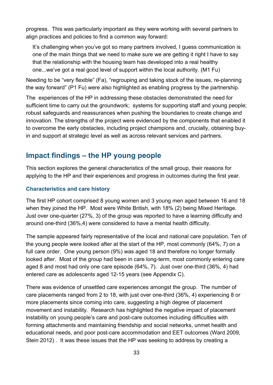progress. This was particularly important as they were working with several partners to align practices and policies to find a common way forward:

It's challenging when you've got so many partners involved, I guess communication is one of the main things that we need to make sure we are getting it right I have to say that the relationship with the housing team has developed into a real healthy one...we've got a real good level of support within the local authority. (M1 Fu)

Needing to be "very flexible" (Fa), "regrouping and taking stock of the issues, re-planning the way forward" (P1 Fu) were also highlighted as enabling progress by the partnership.

The experiences of the HP in addressing these obstacles demonstrated the need for sufficient time to carry out the groundwork; systems for supporting staff and young people; robust safeguards and reassurances when pushing the boundaries to create change and innovation. The strengths of the project were evidenced by the components that enabled it to overcome the early obstacles, including project champions and, crucially, obtaining buyin and support at strategic level as well as across relevant services and partners.

## <span id="page-32-0"></span>**Impact findings – the HP young people**

This section explores the general characteristics of the small group, their reasons for applying to the HP and their experiences and progress in outcomes during the first year.

#### **Characteristics and care history**

The first HP cohort comprised 8 young women and 3 young men aged between 16 and 18 when they joined the HP. Most were White British, with 18% (2) being Mixed Heritage. Just over one-quarter (27%, 3) of the group was reported to have a learning difficulty and around one-third (36%,4) were considered to have a mental health difficulty.

The sample appeared fairly representative of the local and national care population. Ten of the young people were looked after at the start of the HP, most commonly (64%, 7) on a full care order. One young person (9%) was aged 18 and therefore no longer formally looked after. Most of the group had been in care long-term, most commonly entering care aged 8 and most had only one care episode (64%, 7). Just over one-third (36%, 4) had entered care as adolescents aged 12-15 years (see Appendix C).

There was evidence of unsettled care experiences amongst the group. The number of care placements ranged from 2 to 18, with just over one-third (36%, 4) experiencing 8 or more placements since coming into care, suggesting a high degree of placement movement and instability. Research has highlighted the negative impact of placement instability on young people's care and post-care outcomes including difficulties with forming attachments and maintaining friendship and social networks, unmet health and educational needs, and poor post-care accommodation and EET outcomes (Ward 2009, Stein 2012) . It was these issues that the HP was seeking to address by creating a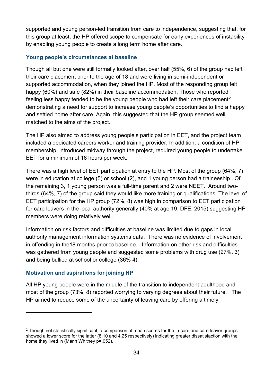supported and young person-led transition from care to independence, suggesting that, for this group at least, the HP offered scope to compensate for early experiences of instability by enabling young people to create a long term home after care.

#### **Young people's circumstances at baseline**

Though all but one were still formally looked after, over half (55%, 6) of the group had left their care placement prior to the age of 18 and were living in semi-independent or supported accommodation, when they joined the HP. Most of the responding group felt happy (60%) and safe (82%) in their baseline accommodation. Those who reported feeling less happy tended to be the young people who had left their care placement<sup>[2](#page-33-0)</sup> demonstrating a need for support to increase young people's opportunities to find a happy and settled home after care. Again, this suggested that the HP group seemed well matched to the aims of the project.

The HP also aimed to address young people's participation in EET, and the project team included a dedicated careers worker and training provider. In addition, a condition of HP membership, introduced midway through the project, required young people to undertake EET for a minimum of 16 hours per week.

There was a high level of EET participation at entry to the HP. Most of the group (64%, 7) were in education at college (5) or school (2), and 1 young person had a traineeship . Of the remaining 3, 1 young person was a full-time parent and 2 were NEET. Around twothirds (64%, 7) of the group said they would like more training or qualifications. The level of EET participation for the HP group (72%, 8) was high in comparison to EET participation for care leavers in the local authority generally (40% at age 19, DFE, 2015) suggesting HP members were doing relatively well.

Information on risk factors and difficulties at baseline was limited due to gaps in local authority management information systems data. There was no evidence of involvement in offending in the18 months prior to baseline. Information on other risk and difficulties was gathered from young people and suggested some problems with drug use (27%, 3) and being bullied at school or college (36% 4).

#### **Motivation and aspirations for joining HP**

 $\overline{a}$ 

All HP young people were in the middle of the transition to independent adulthood and most of the group (73%, 8) reported worrying to varying degrees about their future. The HP aimed to reduce some of the uncertainty of leaving care by offering a timely

<span id="page-33-0"></span><sup>&</sup>lt;sup>2</sup> Though not statistically significant, a comparison of mean scores for the in-care and care leaver groups showed a lower score for the latter (8.10 and 4.25 respectively) indicating greater dissatisfaction with the home they lived in (Mann Whitney p=.052).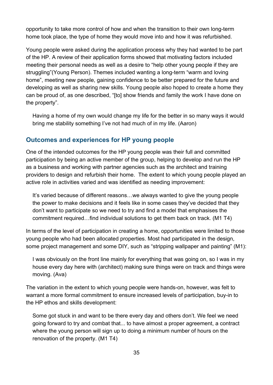opportunity to take more control of how and when the transition to their own long-term home took place, the type of home they would move into and how it was refurbished.

Young people were asked during the application process why they had wanted to be part of the HP. A review of their application forms showed that motivating factors included meeting their personal needs as well as a desire to "help other young people if they are struggling"(Young Person). Themes included wanting a long-term "warm and loving home", meeting new people, gaining confidence to be better prepared for the future and developing as well as sharing new skills. Young people also hoped to create a home they can be proud of, as one described, "[to] show friends and family the work I have done on the property".

Having a home of my own would change my life for the better in so many ways it would bring me stability something I've not had much of in my life. (Aaron)

## <span id="page-34-0"></span>**Outcomes and experiences for HP young people**

One of the intended outcomes for the HP young people was their full and committed participation by being an active member of the group, helping to develop and run the HP as a business and working with partner agencies such as the architect and training providers to design and refurbish their home. The extent to which young people played an active role in activities varied and was identified as needing improvement:

It's varied because of different reasons…we always wanted to give the young people the power to make decisions and it feels like in some cases they've decided that they don't want to participate so we need to try and find a model that emphasises the commitment required…find individual solutions to get them back on track. (M1 T4)

In terms of the level of participation in creating a home, opportunities were limited to those young people who had been allocated properties. Most had participated in the design, some project management and some DIY, such as "stripping wallpaper and painting" (M1):

I was obviously on the front line mainly for everything that was going on, so I was in my house every day here with (architect) making sure things were on track and things were moving. (Ava)

The variation in the extent to which young people were hands-on, however, was felt to warrant a more formal commitment to ensure increased levels of participation, buy-in to the HP ethos and skills development:

Some got stuck in and want to be there every day and others don't. We feel we need going forward to try and combat that... to have almost a proper agreement, a contract where the young person will sign up to doing a minimum number of hours on the renovation of the property. (M1 T4)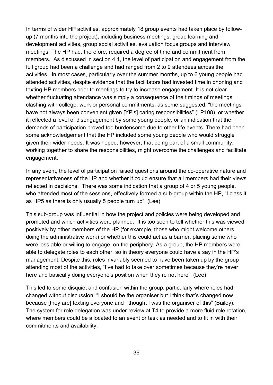In terms of wider HP activities, approximately 18 group events had taken place by followup (7 months into the project), including business meetings, group learning and development activities, group social activities, evaluation focus groups and interview meetings. The HP had, therefore, required a degree of time and commitment from members. As discussed in section 4.1, the level of participation and engagement from the full group had been a challenge and had ranged from 2 to 9 attendees across the activities. In most cases, particularly over the summer months, up to 6 young people had attended activities, despite evidence that the facilitators had invested time in phoning and texting HP members prior to meetings to try to increase engagement. It is not clear whether fluctuating attendance was simply a consequence of the timings of meetings clashing with college, work or personal commitments, as some suggested: "the meetings have not always been convenient given [YP's] caring responsibilities" (LP108), or whether it reflected a level of disengagement by some young people, or an indication that the demands of participation proved too burdensome due to other life events. There had been some acknowledgement that the HP included some young people who would struggle given their wider needs. It was hoped, however, that being part of a small community, working together to share the responsibilities, might overcome the challenges and facilitate engagement.

In any event, the level of participation raised questions around the co-operative nature and representativeness of the HP and whether it could ensure that all members had their views reflected in decisions. There was some indication that a group of 4 or 5 young people, who attended most of the sessions, effectively formed a sub-group within the HP, "I class it as HP5 as there is only usually 5 people turn up". (Lee)

This sub-group was influential in how the project and policies were being developed and promoted and which activities were planned. It is too soon to tell whether this was viewed positively by other members of the HP (for example, those who might welcome others doing the administrative work) or whether this could act as a barrier, placing some who were less able or willing to engage, on the periphery. As a group, the HP members were able to delegate roles to each other, so in theory everyone could have a say in the HP's management. Despite this, roles invariably seemed to have been taken up by the group attending most of the activities, "I've had to take over sometimes because they're never here and basically doing everyone's position when they're not here". (Lee)

This led to some disquiet and confusion within the group, particularly where roles had changed without discussion: "I should be the organiser but I think that's changed now… because [they are] texting everyone and I thought I was the organiser of this" (Bailey). The system for role delegation was under review at T4 to provide a more fluid role rotation, where members could be allocated to an event or task as needed and to fit in with their commitments and availability.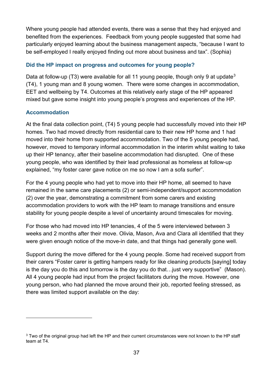Where young people had attended events, there was a sense that they had enjoyed and benefited from the experiences. Feedback from young people suggested that some had particularly enjoyed learning about the business management aspects, "because I want to be self-employed I really enjoyed finding out more about business and tax". (Sophia)

### **Did the HP impact on progress and outcomes for young people?**

Data at follow-up (T[3](#page-36-0)) were available for all 11 young people, though only 9 at update<sup>3</sup> (T4), 1 young man and 8 young women. There were some changes in accommodation, EET and wellbeing by T4. Outcomes at this relatively early stage of the HP appeared mixed but gave some insight into young people's progress and experiences of the HP.

### **Accommodation**

 $\overline{a}$ 

At the final data collection point, (T4) 5 young people had successfully moved into their HP homes. Two had moved directly from residential care to their new HP home and 1 had moved into their home from supported accommodation. Two of the 5 young people had, however, moved to temporary informal accommodation in the interim whilst waiting to take up their HP tenancy, after their baseline accommodation had disrupted. One of these young people, who was identified by their lead professional as homeless at follow-up explained, "my foster carer gave notice on me so now I am a sofa surfer".

For the 4 young people who had yet to move into their HP home, all seemed to have remained in the same care placements (2) or semi-independent/support accommodation (2) over the year, demonstrating a commitment from some carers and existing accommodation providers to work with the HP team to manage transitions and ensure stability for young people despite a level of uncertainty around timescales for moving.

For those who had moved into HP tenancies, 4 of the 5 were interviewed between 3 weeks and 2 months after their move. Olivia, Mason, Ava and Clara all identified that they were given enough notice of the move-in date, and that things had generally gone well.

Support during the move differed for the 4 young people. Some had received support from their carers "Foster carer is getting hampers ready for like cleaning products [saying] today is the day you do this and tomorrow is the day you do that…just very supportive" (Mason). All 4 young people had input from the project facilitators during the move. However, one young person, who had planned the move around their job, reported feeling stressed, as there was limited support available on the day:

<span id="page-36-0"></span> $3$  Two of the original group had left the HP and their current circumstances were not known to the HP staff team at T4.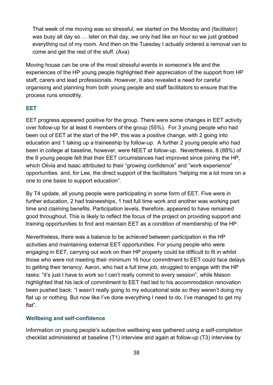That week of me moving was so stressful, we started on the Monday and (facilitator) was busy all day so … later on that day, we only had like an hour so we just grabbed everything out of my room. And then on the Tuesday I actually ordered a removal van to come and get the rest of the stuff. (Ava)

Moving house can be one of the most stressful events in someone's life and the experiences of the HP young people highlighted their appreciation of the support from HP staff, carers and lead professionals. However, it also revealed a need for careful organising and planning from both young people and staff facilitators to ensure that the process runs smoothly.

#### **EET**

EET progress appeared positive for the group. There were some changes in EET activity over follow-up for at least 6 members of the group (55%). For 3 young people who had been out of EET at the start of the HP, this was a positive change, with 2 going into education and 1 taking up a traineeship by follow-up. A further 2 young people who had been in college at baseline, however, were NEET at follow-up. Nevertheless, 8 (88%) of the 9 young people felt that their EET circumstances had improved since joining the HP, which Olivia and Isaac attributed to their "growing confidence" and "work experience" opportunities and, for Lee, the direct support of the facilitators "helping me a lot more on a one to one basis to support education".

By T4 update, all young people were participating in some form of EET. Five were in further education, 2 had traineeships, 1 had full time work and another was working part time and claiming benefits. Participation levels, therefore, appeared to have remained good throughout. This is likely to reflect the focus of the project on providing support and training opportunities to find and maintain EET as a condition of membership of the HP.

Nevertheless, there was a balance to be achieved between participation in the HP activities and maintaining external EET opportunities. For young people who were engaging in EET, carrying out work on their HP property could be difficult to fit in whilst those who were not meeting their minimum 16 hour commitment to EET could face delays to getting their tenancy. Aaron, who had a full time job, struggled to engage with the HP tasks: "it's just I have to work so I can't really commit to every session", while Mason highlighted that his lack of commitment to EET had led to his accommodation renovation been pushed back: "I wasn't really going to my educational side so they weren't doing my flat up or nothing. But now like I've done everything I need to do, I've managed to get my flat".

#### **Wellbeing and self-confidence**

Information on young people's subjective wellbeing was gathered using a self-completion checklist administered at baseline (T1) interview and again at follow-up (T3) interview by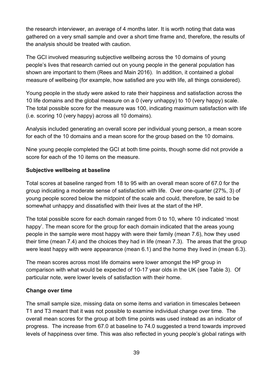the research interviewer, an average of 4 months later. It is worth noting that data was gathered on a very small sample and over a short time frame and, therefore, the results of the analysis should be treated with caution.

The GCI involved measuring subjective wellbeing across the 10 domains of young people's lives that research carried out on young people in the general population has shown are important to them (Rees and Main 2016). In addition, it contained a global measure of wellbeing (for example, how satisfied are you with life, all things considered).

Young people in the study were asked to rate their happiness and satisfaction across the 10 life domains and the global measure on a 0 (very unhappy) to 10 (very happy) scale. The total possible score for the measure was 100, indicating maximum satisfaction with life (i.e. scoring 10 (very happy) across all 10 domains).

Analysis included generating an overall score per individual young person, a mean score for each of the 10 domains and a mean score for the group based on the 10 domains.

Nine young people completed the GCI at both time points, though some did not provide a score for each of the 10 items on the measure.

### **Subjective wellbeing at baseline**

Total scores at baseline ranged from 18 to 95 with an overall mean score of 67.0 for the group indicating a moderate sense of satisfaction with life. Over one-quarter (27%, 3) of young people scored below the midpoint of the scale and could, therefore, be said to be somewhat unhappy and dissatisfied with their lives at the start of the HP.

The total possible score for each domain ranged from 0 to 10, where 10 indicated 'most happy'. The mean score for the group for each domain indicated that the areas young people in the sample were most happy with were their family (mean 7.6), how they used their time (mean 7.4) and the choices they had in life (mean 7.3). The areas that the group were least happy with were appearance (mean 6.1) and the home they lived in (mean 6.3).

The mean scores across most life domains were lower amongst the HP group in comparison with what would be expected of 10-17 year olds in the UK (see Table 3). Of particular note, were lower levels of satisfaction with their home.

### **Change over time**

The small sample size, missing data on some items and variation in timescales between T1 and T3 meant that it was not possible to examine individual change over time. The overall mean scores for the group at both time points was used instead as an indicator of progress. The increase from 67.0 at baseline to 74.0 suggested a trend towards improved levels of happiness over time. This was also reflected in young people's global ratings with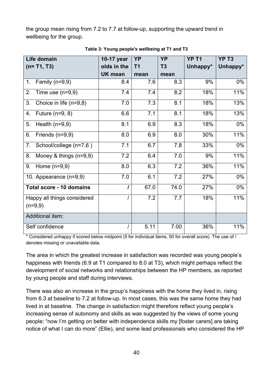the group mean rising from 7.2 to 7.7 at follow-up, supporting the upward trend in wellbeing for the group.

| Life domain                    | 10-17 year     | <b>YP</b>         | <b>YP</b>      | YP <sub>T1</sub> | YP <sub>T3</sub> |
|--------------------------------|----------------|-------------------|----------------|------------------|------------------|
| $(n= T1, T3)$                  | olds in the    | T <sub>1</sub>    | T <sub>3</sub> | Unhappy*         | Unhappy*         |
|                                | <b>UK mean</b> | mean              | mean           |                  |                  |
| Family $(n=9,9)$<br>1.         | 8.4            | 7.6               | 8.3            | 9%               | $0\%$            |
| 2.<br>Time use $(n=9,9)$       | 7.4            | 7.4               | 8.2            | 18%              | 11%              |
| Choice in life (n=9,8)<br>3.   | 7.0            | 7.3               | 8.1            | 18%              | 13%              |
| Future $(n=9, 8)$<br>4.        | 6.6            | 7.1               | 8.1            | 18%              | 13%              |
| Health $(n=9,9)$<br>5.         | 8.1            | 6.9               | 8.3            | 18%              | 0%               |
| Friends (n=9,9)<br>6.          | 8.0            | 6.9               | 8.0            | 30%              | 11%              |
| 7.<br>School/college (n=7,6)   | 7.1            | 6.7               | 7.8            | 33%              | 0%               |
| Money & things $(n=9,9)$<br>8. | 7.2            | 6.4               | 7.0            | 9%               | 11%              |
| 9.<br>Home $(n=9,9)$           | 8.0            | 6.3               | 7.2            | 36%              | 11%              |
| 10. Appearance (n=9,9)         | 7.0            | 6.1               | 7.2            | 27%              | 0%               |
| Total score - 10 domains       | $\prime$       | 67.0              | 74.0           | 27%              | 0%               |
| Happy all things considered    |                | $\overline{7}$ .2 | 7.7            | 18%              | 11%              |
| $(n=9,9)$                      |                |                   |                |                  |                  |
| Additional item:               |                |                   |                |                  |                  |
| Self confidence                |                | 5.11              | 7.00           | 36%              | 11%              |

**Table 3: Young people's wellbeing at T1 and T3**

\* Considered unhappy if scored below midpoint (5 for individual items, 50 for overall score). The use of / denotes missing or unavailable data.

The area in which the greatest increase in satisfaction was recorded was young people's happiness with friends (6.9 at T1 compared to 8.0 at T3), which might perhaps reflect the development of social networks and relationships between the HP members, as reported by young people and staff during interviews.

There was also an increase in the group's happiness with the home they lived in, rising from 6.3 at baseline to 7.2 at follow-up. In most cases, this was the same home they had lived in at baseline. The change in satisfaction might therefore reflect young people's increasing sense of autonomy and skills as was suggested by the views of some young people: "now I'm getting on better with independence skills my [foster carers] are taking notice of what I can do more" (Ellie), and some lead professionals who considered the HP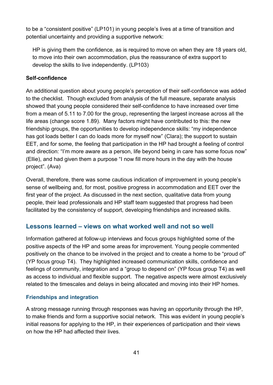to be a "consistent positive" (LP101) in young people's lives at a time of transition and potential uncertainty and providing a supportive network:

HP is giving them the confidence, as is required to move on when they are 18 years old, to move into their own accommodation, plus the reassurance of extra support to develop the skills to live independently. (LP103)

### **Self-confidence**

An additional question about young people's perception of their self-confidence was added to the checklist. Though excluded from analysis of the full measure, separate analysis showed that young people considered their self-confidence to have increased over time from a mean of 5.11 to 7.00 for the group, representing the largest increase across all the life areas (change score 1.89). Many factors might have contributed to this: the new friendship groups, the opportunities to develop independence skills: "my independence has got loads better I can do loads more for myself now" (Clara); the support to sustain EET, and for some, the feeling that participation in the HP had brought a feeling of control and direction: "I'm more aware as a person, life beyond being in care has some focus now" (Ellie), and had given them a purpose "I now fill more hours in the day with the house project". (Ava)

Overall, therefore, there was some cautious indication of improvement in young people's sense of wellbeing and, for most, positive progress in accommodation and EET over the first year of the project. As discussed in the next section, qualitative data from young people, their lead professionals and HP staff team suggested that progress had been facilitated by the consistency of support, developing friendships and increased skills.

### **Lessons learned – views on what worked well and not so well**

Information gathered at follow-up interviews and focus groups highlighted some of the positive aspects of the HP and some areas for improvement. Young people commented positively on the chance to be involved in the project and to create a home to be "proud of" (YP focus group T4). They highlighted increased communication skills, confidence and feelings of community, integration and a "group to depend on" (YP focus group T4) as well as access to individual and flexible support. The negative aspects were almost exclusively related to the timescales and delays in being allocated and moving into their HP homes.

### **Friendships and integration**

A strong message running through responses was having an opportunity through the HP, to make friends and form a supportive social network. This was evident in young people's initial reasons for applying to the HP, in their experiences of participation and their views on how the HP had affected their lives.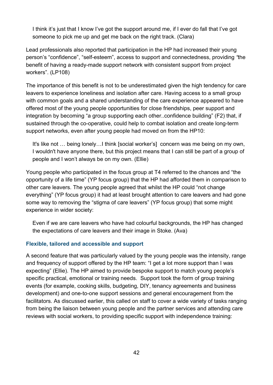I think it's just that I know I've got the support around me, if I ever do fall that I've got someone to pick me up and get me back on the right track. (Clara)

Lead professionals also reported that participation in the HP had increased their young person's "confidence", "self-esteem", access to support and connectedness, providing *"*the benefit of having a ready-made support network with consistent support from project workers". (LP108)

The importance of this benefit is not to be underestimated given the high tendency for care leavers to experience loneliness and isolation after care. Having access to a small group with common goals and a shared understanding of the care experience appeared to have offered most of the young people opportunities for close friendships, peer support and integration by becoming "a group supporting each other..confidence building" (F2) that, if sustained through the co-operative, could help to combat isolation and create long-term support networks, even after young people had moved on from the HP10:

It's like not … being lonely…I think [social worker's] concern was me being on my own, I wouldn't have anyone there, but this project means that I can still be part of a group of people and I won't always be on my own. (Ellie)

Young people who participated in the focus group at T4 referred to the chances and "the opportunity of a life time" (YP focus group) that the HP had afforded them in comparison to other care leavers. The young people agreed that whilst the HP could "not change everything" (YP focus group) it had at least brought attention to care leavers and had gone some way to removing the "stigma of care leavers" (YP focus group) that some might experience in wider society:

Even if we are care leavers who have had colourful backgrounds, the HP has changed the expectations of care leavers and their image in Stoke. (Ava)

### **Flexible, tailored and accessible and support**

A second feature that was particularly valued by the young people was the intensity, range and frequency of support offered by the HP team: "I get a lot more support than I was expecting" (Ellie). The HP aimed to provide bespoke support to match young people's specific practical, emotional or training needs. Support took the form of group training events (for example, cooking skills, budgeting, DIY, tenancy agreements and business development) and one-to-one support sessions and general encouragement from the facilitators. As discussed earlier, this called on staff to cover a wide variety of tasks ranging from being the liaison between young people and the partner services and attending care reviews with social workers, to providing specific support with independence training: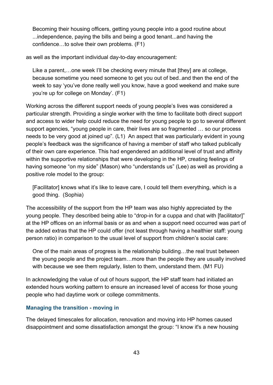Becoming their housing officers, getting young people into a good routine about ...independence, paying the bills and being a good tenant...and having the confidence…to solve their own problems. (F1)

as well as the important individual day-to-day encouragement:

Like a parent,…one week I'll be checking every minute that [they] are at college, because sometime you need someone to get you out of bed..and then the end of the week to say 'you've done really well you know, have a good weekend and make sure you're up for college on Monday'. (F1)

Working across the different support needs of young people's lives was considered a particular strength. Providing a single worker with the time to facilitate both direct support and access to wider help could reduce the need for young people to go to several different support agencies, "young people in care, their lives are so fragmented … so our process needs to be very good at joined up". (L1) An aspect that was particularly evident in young people's feedback was the significance of having a member of staff who talked publically of their own care experience. This had engendered an additional level of trust and affinity within the supportive relationships that were developing in the HP, creating feelings of having someone "on my side" (Mason) who "understands us" (Lee) as well as providing a positive role model to the group:

[Facilitator] knows what it's like to leave care, I could tell them everything, which is a good thing. (Sophia)

The accessibility of the support from the HP team was also highly appreciated by the young people. They described being able to "drop-in for a cuppa and chat with [facilitator]" at the HP offices on an informal basis or as and when a support need occurred was part of the added extras that the HP could offer (not least through having a healthier staff: young person ratio) in comparison to the usual level of support from children's social care:

One of the main areas of progress is the relationship building…the real trust between the young people and the project team…more than the people they are usually involved with because we see them regularly, listen to them, understand them. (M1 FU)

In acknowledging the value of out of hours support, the HP staff team had initiated an extended hours working pattern to ensure an increased level of access for those young people who had daytime work or college commitments.

#### **Managing the transition - moving in**

The delayed timescales for allocation, renovation and moving into HP homes caused disappointment and some dissatisfaction amongst the group: "I know it's a new housing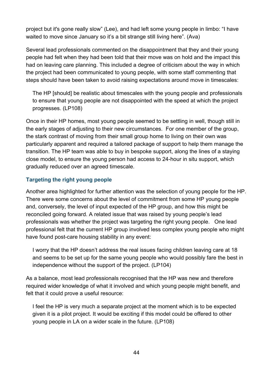project but it's gone really slow" (Lee), and had left some young people in limbo: "I have waited to move since January so it's a bit strange still living here". (Ava)

Several lead professionals commented on the disappointment that they and their young people had felt when they had been told that their move was on hold and the impact this had on leaving care planning. This included a degree of criticism about the way in which the project had been communicated to young people, with some staff commenting that steps should have been taken to avoid raising expectations around move in timescales:

The HP [should] be realistic about timescales with the young people and professionals to ensure that young people are not disappointed with the speed at which the project progresses. (LP108)

Once in their HP homes, most young people seemed to be settling in well, though still in the early stages of adjusting to their new circumstances. For one member of the group, the stark contrast of moving from their small group home to living on their own was particularly apparent and required a tailored package of support to help them manage the transition. The HP team was able to buy in bespoke support, along the lines of a staying close model, to ensure the young person had access to 24-hour in situ support, which gradually reduced over an agreed timescale.

### **Targeting the right young people**

Another area highlighted for further attention was the selection of young people for the HP. There were some concerns about the level of commitment from some HP young people and, conversely, the level of input expected of the HP group, and how this might be reconciled going forward. A related issue that was raised by young people's lead professionals was whether the project was targeting the right young people. One lead professional felt that the current HP group involved less complex young people who might have found post-care housing stability in any event:

I worry that the HP doesn't address the real issues facing children leaving care at 18 and seems to be set up for the same young people who would possibly fare the best in independence without the support of the project. (LP104)

As a balance, most lead professionals recognised that the HP was new and therefore required wider knowledge of what it involved and which young people might benefit, and felt that it could prove a useful resource:

I feel the HP is very much a separate project at the moment which is to be expected given it is a pilot project. It would be exciting if this model could be offered to other young people in LA on a wider scale in the future. (LP108)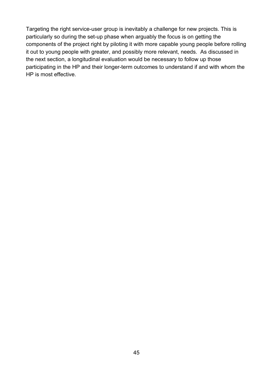Targeting the right service-user group is inevitably a challenge for new projects. This is particularly so during the set-up phase when arguably the focus is on getting the components of the project right by piloting it with more capable young people before rolling it out to young people with greater, and possibly more relevant, needs. As discussed in the next section, a longitudinal evaluation would be necessary to follow up those participating in the HP and their longer-term outcomes to understand if and with whom the HP is most effective.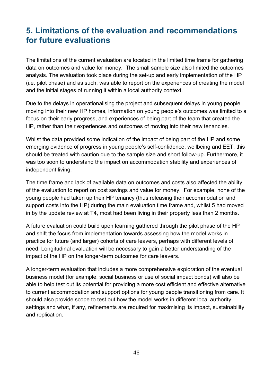## **5. Limitations of the evaluation and recommendations for future evaluations**

The limitations of the current evaluation are located in the limited time frame for gathering data on outcomes and value for money. The small sample size also limited the outcomes analysis. The evaluation took place during the set-up and early implementation of the HP (i.e. pilot phase) and as such, was able to report on the experiences of creating the model and the initial stages of running it within a local authority context.

Due to the delays in operationalising the project and subsequent delays in young people moving into their new HP homes, information on young people's outcomes was limited to a focus on their early progress, and experiences of being part of the team that created the HP, rather than their experiences and outcomes of moving into their new tenancies.

Whilst the data provided some indication of the impact of being part of the HP and some emerging evidence of progress in young people's self-confidence, wellbeing and EET, this should be treated with caution due to the sample size and short follow-up. Furthermore, it was too soon to understand the impact on accommodation stability and experiences of independent living.

The time frame and lack of available data on outcomes and costs also affected the ability of the evaluation to report on cost savings and value for money. For example, none of the young people had taken up their HP tenancy (thus releasing their accommodation and support costs into the HP) during the main evaluation time frame and, whilst 5 had moved in by the update review at T4, most had been living in their property less than 2 months.

A future evaluation could build upon learning gathered through the pilot phase of the HP and shift the focus from implementation towards assessing how the model works in practice for future (and larger) cohorts of care leavers, perhaps with different levels of need. Longitudinal evaluation will be necessary to gain a better understanding of the impact of the HP on the longer-term outcomes for care leavers.

A longer-term evaluation that includes a more comprehensive exploration of the eventual business model (for example, social business or use of social impact bonds) will also be able to help test out its potential for providing a more cost efficient and effective alternative to current accommodation and support options for young people transitioning from care. It should also provide scope to test out how the model works in different local authority settings and what, if any, refinements are required for maximising its impact, sustainability and replication.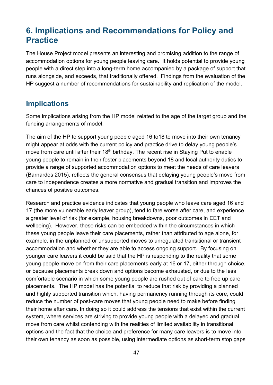## **6. Implications and Recommendations for Policy and Practice**

The House Project model presents an interesting and promising addition to the range of accommodation options for young people leaving care. It holds potential to provide young people with a direct step into a long-term home accompanied by a package of support that runs alongside, and exceeds, that traditionally offered. Findings from the evaluation of the HP suggest a number of recommendations for sustainability and replication of the model.

### **Implications**

Some implications arising from the HP model related to the age of the target group and the funding arrangements of model.

The aim of the HP to support young people aged 16 to18 to move into their own tenancy might appear at odds with the current policy and practice drive to delay young people's move from care until after their 18<sup>th</sup> birthday. The recent rise in Staying Put to enable young people to remain in their foster placements beyond 18 and local authority duties to provide a range of supported accommodation options to meet the needs of care leavers (Barnardos 2015), reflects the general consensus that delaying young people's move from care to independence creates a more normative and gradual transition and improves the chances of positive outcomes.

Research and practice evidence indicates that young people who leave care aged 16 and 17 (the more vulnerable early leaver group), tend to fare worse after care, and experience a greater level of risk (for example, housing breakdowns, poor outcomes in EET and wellbeing). However, these risks can be embedded within the circumstances in which these young people leave their care placements, rather than attributed to age alone, for example, in the unplanned or unsupported moves to unregulated transitional or transient accommodation and whether they are able to access ongoing support. By focusing on younger care leavers it could be said that the HP is responding to the reality that some young people move on from their care placements early at 16 or 17, either through choice, or because placements break down and options become exhausted, or due to the less comfortable scenario in which some young people are rushed out of care to free up care placements. The HP model has the potential to reduce that risk by providing a planned and highly supported transition which, having permanency running through its core, could reduce the number of post-care moves that young people need to make before finding their home after care. In doing so it could address the tensions that exist within the current system, where services are striving to provide young people with a delayed and gradual move from care whilst contending with the realities of limited availability in transitional options and the fact that the choice and preference for many care leavers is to move into their own tenancy as soon as possible, using intermediate options as short-term stop gaps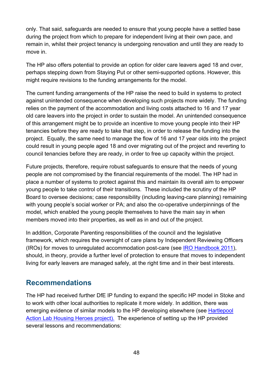only. That said, safeguards are needed to ensure that young people have a settled base during the project from which to prepare for independent living at their own pace, and remain in, whilst their project tenancy is undergoing renovation and until they are ready to move in.

The HP also offers potential to provide an option for older care leavers aged 18 and over, perhaps stepping down from Staying Put or other semi-supported options. However, this might require revisions to the funding arrangements for the model.

The current funding arrangements of the HP raise the need to build in systems to protect against unintended consequence when developing such projects more widely. The funding relies on the payment of the accommodation and living costs attached to 16 and 17 year old care leavers into the project in order to sustain the model. An unintended consequence of this arrangement might be to provide an incentive to move young people into their HP tenancies before they are ready to take that step, in order to release the funding into the project. Equally, the same need to manage the flow of 16 and 17 year olds into the project could result in young people aged 18 and over migrating out of the project and reverting to council tenancies before they are ready, in order to free up capacity within the project.

Future projects, therefore, require robust safeguards to ensure that the needs of young people are not compromised by the financial requirements of the model. The HP had in place a number of systems to protect against this and maintain its overall aim to empower young people to take control of their transitions. These included the scrutiny of the HP Board to oversee decisions; case responsibility (including leaving-care planning) remaining with young people's social worker or PA; and also the co-operative underpinnings of the model, which enabled the young people themselves to have the main say in when members moved into their properties, as well as in and out of the project.

In addition, Corporate Parenting responsibilities of the council and the legislative framework, which requires the oversight of care plans by Independent Reviewing Officers (IROs) for moves to unregulated accommodation post-care (see [IRO Handbook 2011\)](https://www.gov.uk/government/publications/independent-reviewing-officers-handbook), should, in theory, provide a further level of protection to ensure that moves to independent living for early leavers are managed safely, at the right time and in their best interests.

### **Recommendations**

The HP had received further DfE IP funding to expand the specific HP model in Stoke and to work with other local authorities to replicate it more widely. In addition, there was emerging evidence of similar models to the HP developing elsewhere (see [Hartlepool](http://www.hartlepoolactionlab.org/whats-happening-now/) [Action Lab Housing Heroes](http://www.hartlepoolactionlab.org/whats-happening-now/) project). The experience of setting up the HP provided several lessons and recommendations: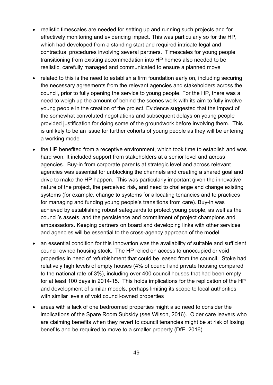- realistic timescales are needed for setting up and running such projects and for effectively monitoring and evidencing impact. This was particularly so for the HP, which had developed from a standing start and required intricate legal and contractual procedures involving several partners. Timescales for young people transitioning from existing accommodation into HP homes also needed to be realistic, carefully managed and communicated to ensure a planned move
- related to this is the need to establish a firm foundation early on, including securing the necessary agreements from the relevant agencies and stakeholders across the council, prior to fully opening the service to young people. For the HP, there was a need to weigh up the amount of behind the scenes work with its aim to fully involve young people in the creation of the project. Evidence suggested that the impact of the somewhat convoluted negotiations and subsequent delays on young people provided justification for doing some of the groundwork before involving them. This is unlikely to be an issue for further cohorts of young people as they will be entering a working model
- the HP benefited from a receptive environment, which took time to establish and was hard won. It included support from stakeholders at a senior level and across agencies. Buy-in from corporate parents at strategic level and across relevant agencies was essential for unblocking the channels and creating a shared goal and drive to make the HP happen. This was particularly important given the innovative nature of the project, the perceived risk, and need to challenge and change existing systems (for example, change to systems for allocating tenancies and to practices for managing and funding young people's transitions from care). Buy-in was achieved by establishing robust safeguards to protect young people, as well as the council's assets, and the persistence and commitment of project champions and ambassadors. Keeping partners on board and developing links with other services and agencies will be essential to the cross-agency approach of the model
- an essential condition for this innovation was the availability of suitable and sufficient council owned housing stock. The HP relied on access to unoccupied or void properties in need of refurbishment that could be leased from the council. Stoke had relatively high levels of empty houses (4% of council and private housing compared to the national rate of 3%), including over 400 council houses that had been empty for at least 100 days in 2014-15. This holds implications for the replication of the HP and development of similar models, perhaps limiting its scope to local authorities with similar levels of void council-owned properties
- areas with a lack of one bedroomed properties might also need to consider the implications of the Spare Room Subsidy (see Wilson, 2016). Older care leavers who are claiming benefits when they revert to council tenancies might be at risk of losing benefits and be required to move to a smaller property (DfE, 2016)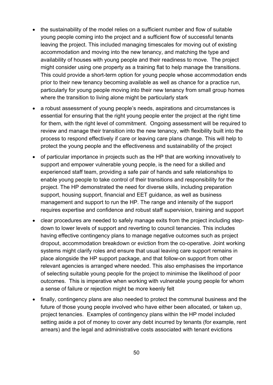- the sustainability of the model relies on a sufficient number and flow of suitable young people coming into the project and a sufficient flow of successful tenants leaving the project. This included managing timescales for moving out of existing accommodation and moving into the new tenancy, and matching the type and availability of houses with young people and their readiness to move. The project might consider using one property as a training flat to help manage the transitions. This could provide a short-term option for young people whose accommodation ends prior to their new tenancy becoming available as well as chance for a practice run, particularly for young people moving into their new tenancy from small group homes where the transition to living alone might be particularly stark
- a robust assessment of young people's needs, aspirations and circumstances is essential for ensuring that the right young people enter the project at the right time for them, with the right level of commitment. Ongoing assessment will be required to review and manage their transition into the new tenancy, with flexibility built into the process to respond effectively if care or leaving care plans change. This will help to protect the young people and the effectiveness and sustainability of the project
- of particular importance in projects such as the HP that are working innovatively to support and empower vulnerable young people, is the need for a skilled and experienced staff team, providing a safe pair of hands and safe relationships to enable young people to take control of their transitions and responsibility for the project. The HP demonstrated the need for diverse skills, including preparation support, housing support, financial and EET guidance, as well as business management and support to run the HP. The range and intensity of the support requires expertise and confidence and robust staff supervision, training and support
- clear procedures are needed to safely manage exits from the project including stepdown to lower levels of support and reverting to council tenancies. This includes having effective contingency plans to manage negative outcomes such as project dropout, accommodation breakdown or eviction from the co-operative. Joint working systems might clarify roles and ensure that usual leaving care support remains in place alongside the HP support package, and that follow-on support from other relevant agencies is arranged where needed. This also emphasises the importance of selecting suitable young people for the project to minimise the likelihood of poor outcomes. This is imperative when working with vulnerable young people for whom a sense of failure or rejection might be more keenly felt
- finally, contingency plans are also needed to protect the communal business and the future of those young people involved who have either been allocated, or taken up, project tenancies. Examples of contingency plans within the HP model included setting aside a pot of money to cover any debt incurred by tenants (for example, rent arrears) and the legal and administrative costs associated with tenant evictions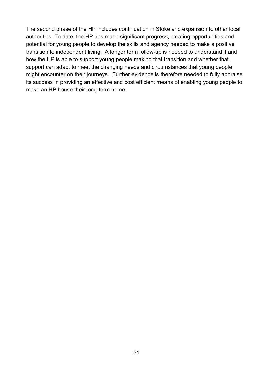The second phase of the HP includes continuation in Stoke and expansion to other local authorities. To date, the HP has made significant progress, creating opportunities and potential for young people to develop the skills and agency needed to make a positive transition to independent living. A longer term follow-up is needed to understand if and how the HP is able to support young people making that transition and whether that support can adapt to meet the changing needs and circumstances that young people might encounter on their journeys. Further evidence is therefore needed to fully appraise its success in providing an effective and cost efficient means of enabling young people to make an HP house their long-term home.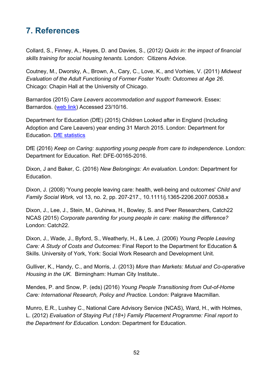## **7. References**

Collard, S., Finney, A., Hayes, D. and Davies, S., (2012*) Quids in: the impact of financial skills training for social housing tenants.* London: Citizens Advice.

Coutney, M., Dworsky, A., Brown, A., Cary, C., Love, K., and Vorhies, V. (2011) *Midwest Evaluation of the Adult Functioning of Former Foster Youth: Outcomes at Age 26*. Chicago: Chapin Hall at the University of Chicago.

Barnardos (2015) *Care Leavers accommodation and support framework*. Essex: Barnardos. [\(web link\)](http://www.barnardos.org.uk/care_leavers_accom_and_support_framework.pdf.) Accessed 23/10/16.

Department for Education (DfE) (2015) Children Looked after in England (Including Adoption and Care Leavers) year ending 31 March 2015. London: Department for Education. [DfE statistics](https://www.gov.uk/government/statistics/children-looked-after-in-england-including-adoption-2014-to-2015) 

DfE (2016) *Keep on Caring: supporting young people from care to independence*. London: Department for Education. Ref: DFE-00165-2016.

Dixon, J and Baker, C. (2016) *New Belongings: An evaluation*. London: Department for Education.

Dixon, J. (2008) 'Young people leaving care: health, well-being and outcomes' *Child and Family Social Work,* vol 13, no. 2, pp. 207-217., 10.1111/j.1365-2206.2007.00538.x

Dixon, J., Lee, J., Stein, M., Guhirwa, H., Bowley, S. and Peer Researchers, Catch22 NCAS (2015) *Corporate parenting for young people in care: making the difference?* London: Catch22.

Dixon, J., Wade, J., Byford, S., Weatherly, H., & Lee, J. (2006) *Young People Leaving Care: A Study of Costs and Outcomes:* Final Report to the Department for Education & Skills. University of York, York: Social Work Research and Development Unit.

Gulliver, K., Handy, C., and Morris, J. (2013) *More than Markets: Mutual and Co-operative Housing in the UK.* Birmingham: Human City Institute..

Mendes, P. and Snow, P. (eds) (2016) *Young People Transitioning from Out-of-Home Care: International Research, Policy and Practice.* London: Palgrave Macmillan.

Munro, E.R., Lushey C., National Care Advisory Service (NCAS), Ward, H., with Holmes, L. (2012) *Evaluation of Staying Put (18+) Family Placement Programme: Final report to the Department for Education*. London: Department for Education.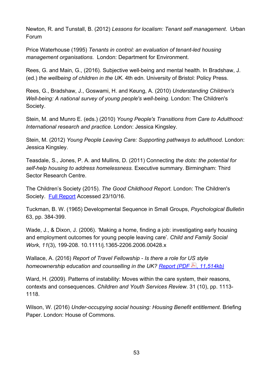Newton, R. and Tunstall, B. (2012) *Lessons for localism: Tenant self management*. Urban Forum

Price Waterhouse (1995) *Tenants in control: an evaluation of tenant-led housing management organisations*. London: Department for Environment.

Rees, G. and Main, G., (2016). Subjective well-being and mental health*.* In Bradshaw, J. (ed.) *the wellbeing of children in the UK*. 4th edn. University of Bristol: Policy Press.

Rees, G., Bradshaw, J., Goswami, H. and Keung, A. (2010) *Understanding Children's Well-being: A national survey of young people's well-being*. London: The Children's Society.

Stein, M. and Munro E. (eds.) (2010) *Young People's Transitions from Care to Adulthood: International research and practice.* London: Jessica Kingsley.

Stein, M. (2012) *Young People Leaving Care: Supporting pathways to adulthood*. London: Jessica Kingsley.

Teasdale, S., Jones, P. A. and Mullins, D. (2011) Connecting *the dots: the potential for self-help housing to address homelessness.* Executive summary. Birmingham: Third Sector Research Centre.

The Children's Society (2015). *The Good Childhood Report.* London: The Children's Society. [Full Report](http://www.childrenssociety.org.uk/sites/default/files/TheGoodChildhoodReport2015.pdf) Accessed 23/10/16.

Tuckman, B. W. (1965) Developmental Sequence in Small Groups, *Psychological Bulletin* 63, pp. 384-399.

Wade, J., & Dixon, J. (2006). 'Making a home, finding a job: investigating early housing and employment outcomes for young people leaving care'. *Child and Family Social Work*, *11*(3), 199-208. [10.1111/j.1365-2206.2006.00428.x](http://dx.doi.org/10.1111/j.1365-2206.2006.00428.x)

Wallace, A. (2016) *Report of Travel Fellowship - Is there a role for US style homeownership education and counselling in the UK? [Report \(PDF](http://www.york.ac.uk/media/chp/documents/2016/Final%20report%20121016.pdf)*  $\blacktriangle$ *), 11,514kb)* 

Ward, H. (2009). Patterns of instability: Moves within the care system, their reasons, contexts and consequences. *Children and Youth Services Review.* 31 (10), pp. 1113- 1118.

Wilson, W. (2016) *Under-occupying social housing: Housing Benefit entitlement.* Briefing Paper. London: House of Commons.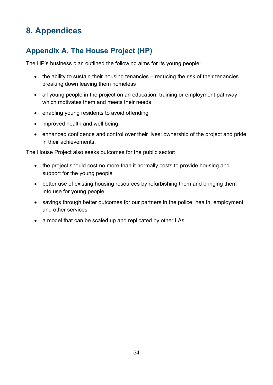# **8. Appendices**

## **Appendix A. The House Project (HP)**

The HP's business plan outlined the following aims for its young people:

- the ability to sustain their housing tenancies reducing the risk of their tenancies breaking down leaving them homeless
- all young people in the project on an education, training or employment pathway which motivates them and meets their needs
- enabling young residents to avoid offending
- improved health and well being
- enhanced confidence and control over their lives; ownership of the project and pride in their achievements.

The House Project also seeks outcomes for the public sector:

- the project should cost no more than it normally costs to provide housing and support for the young people
- better use of existing housing resources by refurbishing them and bringing them into use for young people
- savings through better outcomes for our partners in the police, health, employment and other services
- a model that can be scaled up and replicated by other LAs.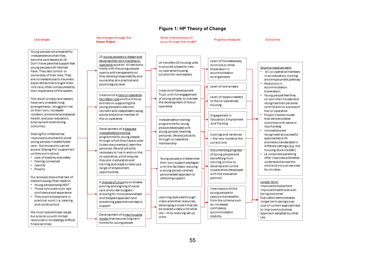#### **Figure 1: HP Theory of Change**

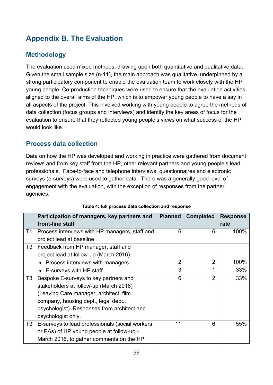## **Appendix B. The Evaluation**

### **Methodology**

The evaluation used mixed methods, drawing upon both quantitative and qualitative data. Given the small sample size (n-11), the main approach was qualitative, underpinned by a strong participatory component to enable the evaluation team to work closely with the HP young people. Co-production techniques were used to ensure that the evaluation activities aligned to the overall aims of the HP, which is to empower young people to have a say in all aspects of the project. This involved working with young people to agree the methods of data collection (focus groups and interviews) and identify the key areas of focus for the evaluation to ensure that they reflected young people's views on what success of the HP would look like.

### **Process data collection**

Data on how the HP was developed and working in practice were gathered from document reviews and from key staff from the HP, other relevant partners and young people's lead professionals. Face-to-face and telephone interviews, questionnaires and electronic surveys (e-surveys) were used to gather data. There was a generally good level of engagement with the evaluation, with the exception of responses from the partner agencies.

|                | Participation of managers, key partners and<br>front-line staff                                                                                                                                                                        | <b>Planned</b> | <b>Completed</b> | <b>Response</b><br>rate |
|----------------|----------------------------------------------------------------------------------------------------------------------------------------------------------------------------------------------------------------------------------------|----------------|------------------|-------------------------|
| T1             | Process interviews with HP managers, staff and<br>project lead at baseline                                                                                                                                                             | 6              | 6                | 100%                    |
| T <sub>3</sub> | Feedback from HP manager, staff and<br>project lead at follow-up (March 2016):                                                                                                                                                         | $\overline{2}$ | 2                | 100%                    |
|                | • Process interviews with managers<br>• E-surveys with HP staff                                                                                                                                                                        | 3              |                  | 33%                     |
| T <sub>3</sub> | Bespoke E-surveys to key partners and<br>stakeholders at follow-up (March 2016)<br>(Leaving Care manager, architect, film<br>company, housing dept., legal dept.,<br>psychologist). Responses from architect and<br>psychologist only. | 6              | $\overline{2}$   | 33%                     |
| T <sub>3</sub> | E-surveys to lead professionals (social workers<br>or PAs) of HP young people at follow-up -<br>March 2016, to gather comments on the HP                                                                                               | 11             | 6                | 55%                     |

### **Table 4: full process data collection and response**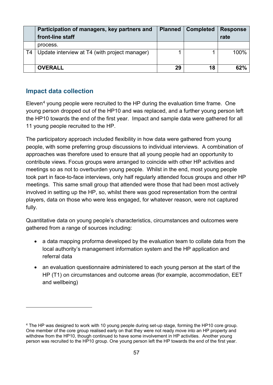|    | Participation of managers, key partners and<br>front-line staff | <b>Planned</b> | Completed | <b>Response</b><br>rate |
|----|-----------------------------------------------------------------|----------------|-----------|-------------------------|
|    | process.                                                        |                |           |                         |
| T4 | Update interview at T4 (with project manager)                   |                |           | $100\%$                 |
|    | <b>OVERALL</b>                                                  | 29             | 18        | 62%                     |

### **Impact data collection**

 $\overline{a}$ 

Eleven<sup>[4](#page-56-0)</sup> young people were recruited to the HP during the evaluation time frame. One young person dropped out of the HP10 and was replaced, and a further young person left the HP10 towards the end of the first year. Impact and sample data were gathered for all 11 young people recruited to the HP.

The participatory approach included flexibility in how data were gathered from young people, with some preferring group discussions to individual interviews. A combination of approaches was therefore used to ensure that all young people had an opportunity to contribute views. Focus groups were arranged to coincide with other HP activities and meetings so as not to overburden young people. Whilst in the end, most young people took part in face-to-face interviews, only half regularly attended focus groups and other HP meetings. This same small group that attended were those that had been most actively involved in setting up the HP, so, whilst there was good representation from the central players, data on those who were less engaged, for whatever reason, were not captured fully.

Quantitative data on young people's characteristics, circumstances and outcomes were gathered from a range of sources including:

- a data mapping proforma developed by the evaluation team to collate data from the local authority's management information system and the HP application and referral data
- an evaluation questionnaire administered to each young person at the start of the HP (T1) on circumstances and outcome areas (for example, accommodation, EET and wellbeing)

<span id="page-56-0"></span><sup>4</sup> The HP was designed to work with 10 young people during set-up stage, forming the HP10 core group. One member of the core group realised early on that they were not ready move into an HP property and withdrew from the HP10, though continued to have some involvement in HP activities. Another young person was recruited to the HP10 group. One young person left the HP towards the end of the first year.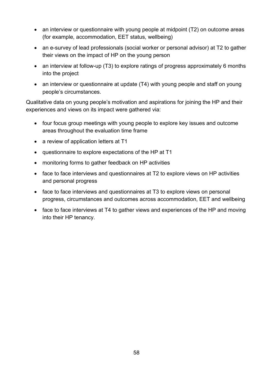- an interview or questionnaire with young people at midpoint (T2) on outcome areas (for example, accommodation, EET status, wellbeing)
- an e-survey of lead professionals (social worker or personal advisor) at T2 to gather their views on the impact of HP on the young person
- an interview at follow-up (T3) to explore ratings of progress approximately 6 months into the project
- an interview or questionnaire at update (T4) with young people and staff on young people's circumstances.

Qualitative data on young people's motivation and aspirations for joining the HP and their experiences and views on its impact were gathered via:

- four focus group meetings with young people to explore key issues and outcome areas throughout the evaluation time frame
- a review of application letters at T1
- questionnaire to explore expectations of the HP at T1
- monitoring forms to gather feedback on HP activities
- face to face interviews and questionnaires at T2 to explore views on HP activities and personal progress
- face to face interviews and questionnaires at T3 to explore views on personal progress, circumstances and outcomes across accommodation, EET and wellbeing
- face to face interviews at T4 to gather views and experiences of the HP and moving into their HP tenancy.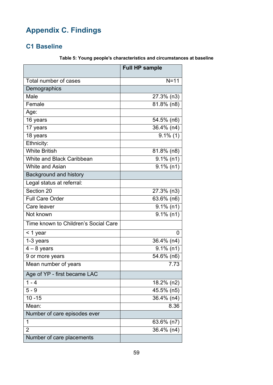# **Appendix C. Findings**

### **C1 Baseline**

|                                      | <b>Full HP sample</b> |
|--------------------------------------|-----------------------|
| Total number of cases                | $N = 11$              |
| Demographics                         |                       |
| Male                                 | 27.3% (n3)            |
| Female                               | $81.8\%$ (n8)         |
| Age:                                 |                       |
| 16 years                             | 54.5% (n6)            |
| 17 years                             | 36.4% (n4)            |
| 18 years                             | $9.1\%$ (1)           |
| Ethnicity:                           |                       |
| <b>White British</b>                 | $81.8\%$ (n8)         |
| White and Black Caribbean            | $9.1\%$ (n1)          |
| <b>White and Asian</b>               | $9.1\%$ (n1)          |
| Background and history               |                       |
| Legal status at referral:            |                       |
| Section 20                           | 27.3% (n3)            |
| <b>Full Care Order</b>               | 63.6% (n6)            |
| Care leaver                          | $9.1\%$ (n1)          |
| Not known                            | $9.1\%$ (n1)          |
| Time known to Children's Social Care |                       |
| < 1 year                             | 0                     |
| 1-3 years                            | 36.4% (n4)            |
| $4 - 8$ years                        | $9.1\%$ (n1)          |
| 9 or more years                      | 54.6% (n6)            |
| Mean number of years                 | 7.73                  |
| Age of YP - first became LAC         |                       |
| $1 - 4$                              | 18.2% (n2)            |
| $5 - 9$                              | 45.5% (n5)            |
| $10 - 15$                            | 36.4% (n4)            |
| Mean:                                | 8.36                  |
| Number of care episodes ever         |                       |
| 1                                    | 63.6% (n7)            |
| $\overline{2}$                       | 36.4% (n4)            |
| Number of care placements            |                       |

### **Table 5: Young people's characteristics and circumstances at baseline**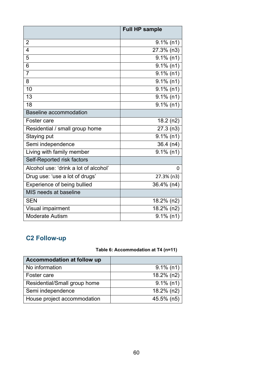|                                       | <b>Full HP sample</b> |
|---------------------------------------|-----------------------|
| $\overline{2}$                        | $9.1\%$ (n1)          |
| 4                                     | 27.3% (n3)            |
| 5                                     | $9.1\%$ (n1)          |
| 6                                     | $9.1\%$ (n1)          |
| $\overline{7}$                        | $9.1\%$ (n1)          |
| 8                                     | $9.1\%$ (n1)          |
| 10                                    | $9.1\%$ (n1)          |
| 13                                    | $9.1\%$ (n1)          |
| 18                                    | $9.1\%$ (n1)          |
| Baseline accommodation                |                       |
| Foster care                           | 18.2(n2)              |
| Residential / small group home        | 27.3(n3)              |
| Staying put                           | $9.1\%$ (n1)          |
| Semi independence                     | $36.4$ (n4)           |
| Living with family member             | $9.1\%$ (n1)          |
| Self-Reported risk factors            |                       |
| Alcohol use: 'drink a lot of alcohol' | $\Omega$              |
| Drug use: 'use a lot of drugs'        | 27.3% (n3)            |
| Experience of being bullied           | 36.4% (n4)            |
| MIS needs at baseline                 |                       |
| <b>SEN</b>                            | 18.2% (n2)            |
| Visual impairment                     | 18.2% (n2)            |
| <b>Moderate Autism</b>                | $9.1\%$ (n1)          |

## **C2 Follow-up**

### **Table 6: Accommodation at T4 (n=11)**

| Accommodation at follow up   |              |
|------------------------------|--------------|
| No information               | $9.1\%$ (n1) |
| Foster care                  | 18.2% (n2)   |
| Residential/Small group home | $9.1\%$ (n1) |
| Semi independence            | 18.2% (n2)   |
| House project accommodation  | 45.5% (n5)   |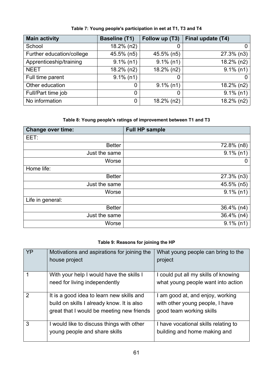| <b>Main activity</b>      | <b>Baseline (T1)</b> | Follow up (T3) | Final update (T4) |
|---------------------------|----------------------|----------------|-------------------|
| School                    | 18.2% (n2)           |                | 0                 |
| Further education/college | 45.5% (n5)           | 45.5% (n5)     | $27.3\%$ (n3)     |
| Apprenticeship/training   | $9.1\%$ (n1)         | $9.1\%$ (n1)   | 18.2% (n2)        |
| <b>NEET</b>               | 18.2% (n2)           | $18.2\%$ (n2)  | $9.1\%$ (n1)      |
| Full time parent          | $9.1\%$ (n1)         |                |                   |
| Other education           |                      | $9.1\%$ (n1)   | 18.2% (n2)        |
| Full/Part time job        |                      |                | $9.1\%$ (n1)      |
| No information            |                      | $18.2\%$ (n2)  | 18.2% (n2)        |

**Table 7: Young people's participation in eet at T1, T3 and T4**

### **Table 8: Young people's ratings of improvement between T1 and T3**

| <b>Change over time:</b> | <b>Full HP sample</b> |
|--------------------------|-----------------------|
| EET:                     |                       |
| <b>Better</b>            | 72.8% (n8)            |
| Just the same            | $9.1\%$ (n1)          |
| Worse                    |                       |
| Home life:               |                       |
| <b>Better</b>            | $27.3\%$ (n3)         |
| Just the same            | 45.5% (n5)            |
| Worse                    | $9.1\%$ (n1)          |
| Life in general:         |                       |
| <b>Better</b>            | 36.4% (n4)            |
| Just the same            | $36.4\%$ (n4)         |
| Worse                    | $9.1\%$ (n1)          |

#### **Table 9: Reasons for joining the HP**

| YP            | Motivations and aspirations for joining the<br>house project                                                                         | What young people can bring to the<br>project                                                   |
|---------------|--------------------------------------------------------------------------------------------------------------------------------------|-------------------------------------------------------------------------------------------------|
|               | With your help I would have the skills I<br>need for living independently                                                            | I could put all my skills of knowing<br>what young people want into action                      |
| $\mathcal{P}$ | It is a good idea to learn new skills and<br>build on skills I already know. It is also<br>great that I would be meeting new friends | I am good at, and enjoy, working<br>with other young people, I have<br>good team working skills |
| 3             | I would like to discuss things with other<br>young people and share skills                                                           | I have vocational skills relating to<br>building and home making and                            |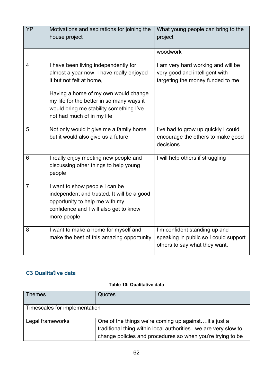| YP             | Motivations and aspirations for joining the<br>house project                                                                                                                                                                                                               | What young people can bring to the<br>project                                                            |
|----------------|----------------------------------------------------------------------------------------------------------------------------------------------------------------------------------------------------------------------------------------------------------------------------|----------------------------------------------------------------------------------------------------------|
|                |                                                                                                                                                                                                                                                                            | woodwork                                                                                                 |
| $\overline{4}$ | I have been living independently for<br>almost a year now. I have really enjoyed<br>it but not felt at home,<br>Having a home of my own would change<br>my life for the better in so many ways it<br>would bring me stability something I've<br>not had much of in my life | I am very hard working and will be<br>very good and intelligent with<br>targeting the money funded to me |
| 5              | Not only would it give me a family home<br>but it would also give us a future                                                                                                                                                                                              | I've had to grow up quickly I could<br>encourage the others to make good<br>decisions                    |
| 6              | I really enjoy meeting new people and<br>discussing other things to help young<br>people                                                                                                                                                                                   | I will help others if struggling                                                                         |
| $\overline{7}$ | I want to show people I can be<br>independent and trusted. It will be a good<br>opportunity to help me with my<br>confidence and I will also get to know<br>more people                                                                                                    |                                                                                                          |
| 8              | I want to make a home for myself and<br>make the best of this amazing opportunity                                                                                                                                                                                          | I'm confident standing up and<br>speaking in public so I could support<br>others to say what they want.  |

## **C3 Qualita**t**ive data**

#### **Table 10: Qualitative data**

| <b>Themes</b>                 | Quotes                                                        |
|-------------------------------|---------------------------------------------------------------|
|                               |                                                               |
|                               |                                                               |
|                               |                                                               |
| Timescales for implementation |                                                               |
|                               |                                                               |
|                               |                                                               |
|                               |                                                               |
| Legal frameworks              | One of the things we're coming up against it's just a         |
|                               |                                                               |
|                               | traditional thing within local authoritieswe are very slow to |
|                               |                                                               |
|                               | change policies and procedures so when you're trying to be    |
|                               |                                                               |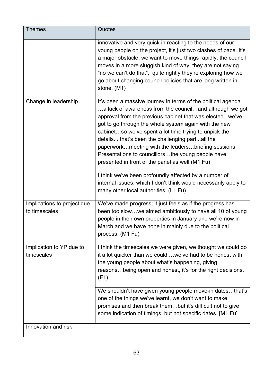| <b>Themes</b>                                | Quotes                                                                                                                                                                                                                                                                                                                                                                                                                                                                                                                  |
|----------------------------------------------|-------------------------------------------------------------------------------------------------------------------------------------------------------------------------------------------------------------------------------------------------------------------------------------------------------------------------------------------------------------------------------------------------------------------------------------------------------------------------------------------------------------------------|
|                                              | innovative and very quick in reacting to the needs of our<br>young people on the project, it's just two clashes of pace. It's<br>a major obstacle, we want to move things rapidly, the council<br>moves in a more sluggish kind of way, they are not saying<br>"no we can't do that", quite rightly they're exploring how we<br>go about changing council policies that are long written in<br>stone. (M1)                                                                                                              |
| Change in leadership                         | It's been a massive journey in terms of the political agenda<br>a lack of awareness from the counciland although we got<br>approval from the previous cabinet that was electedwe've<br>got to go through the whole system again with the new<br>cabinetso we've spent a lot time trying to unpick the<br>details that's been the challenging partall the<br>paperworkmeeting with the leadersbriefing sessions.<br>Presentations to councillorsthe young people have<br>presented in front of the panel as well (M1 Fu) |
|                                              | I think we've been profoundly affected by a number of<br>internal issues, which I don't think would necessarily apply to<br>many other local authorities. (L1 Fu)                                                                                                                                                                                                                                                                                                                                                       |
| Implications to project due<br>to timescales | We've made progress; it just feels as if the progress has<br>been too slowwe aimed ambitiously to have all 10 of young<br>people in their own properties in January and we're now in<br>March and we have none in mainly due to the political<br>process. (M1 Fu)                                                                                                                                                                                                                                                       |
| Implication to YP due to<br>timescales       | I think the timescales we were given, we thought we could do<br>it a lot quicker than we could  we've had to be honest with<br>the young people about what's happening, giving<br>reasonsbeing open and honest, it's for the right decisions.<br>(F1)                                                                                                                                                                                                                                                                   |
|                                              | We shouldn't have given young people move-in datesthat's<br>one of the things we've learnt, we don't want to make<br>promises and then break thembut it's difficult not to give<br>some indication of timings, but not specific dates. [M1 Fu]                                                                                                                                                                                                                                                                          |
| Innovation and risk                          |                                                                                                                                                                                                                                                                                                                                                                                                                                                                                                                         |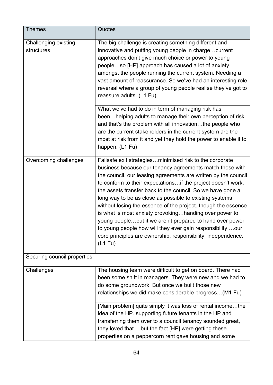| <b>Themes</b>                      | Quotes                                                                                                                                                                                                                                                                                                                                                                                                                                                                                                                                                                                                                                                                                                                 |
|------------------------------------|------------------------------------------------------------------------------------------------------------------------------------------------------------------------------------------------------------------------------------------------------------------------------------------------------------------------------------------------------------------------------------------------------------------------------------------------------------------------------------------------------------------------------------------------------------------------------------------------------------------------------------------------------------------------------------------------------------------------|
| Challenging existing<br>structures | The big challenge is creating something different and<br>innovative and putting young people in chargecurrent<br>approaches don't give much choice or power to young<br>peopleso [HP] approach has caused a lot of anxiety<br>amongst the people running the current system. Needing a<br>vast amount of reassurance. So we've had an interesting role<br>reversal where a group of young people realise they've got to<br>reassure adults. (L1 Fu)                                                                                                                                                                                                                                                                    |
|                                    | What we've had to do in term of managing risk has<br>beenhelping adults to manage their own perception of risk<br>and that's the problem with all innovationthe people who<br>are the current stakeholders in the current system are the<br>most at risk from it and yet they hold the power to enable it to<br>happen. (L1 Fu)                                                                                                                                                                                                                                                                                                                                                                                        |
| Overcoming challenges              | Failsafe exit strategiesminimised risk to the corporate<br>business because our tenancy agreements match those with<br>the council, our leasing agreements are written by the council<br>to conform to their expectations if the project doesn't work,<br>the assets transfer back to the council. So we have gone a<br>long way to be as close as possible to existing systems<br>without losing the essence of the project. though the essence<br>is what is most anxiety provokinghanding over power to<br>young peoplebut it we aren't prepared to hand over power<br>to young people how will they ever gain responsibility.<br>.our<br>core principles are ownership, responsibility, independence.<br>$(L1$ Fu) |
| Securing council properties        |                                                                                                                                                                                                                                                                                                                                                                                                                                                                                                                                                                                                                                                                                                                        |
| Challenges                         | The housing team were difficult to get on board. There had<br>been some shift in managers. They were new and we had to<br>do some groundwork. But once we built those new<br>relationships we did make considerable progress(M1 Fu)<br>[Main problem] quite simply it was loss of rental incomethe<br>idea of the HP. supporting future tenants in the HP and<br>transferring them over to a council tenancy sounded great,<br>they loved that but the fact [HP] were getting these<br>properties on a peppercorn rent gave housing and some                                                                                                                                                                           |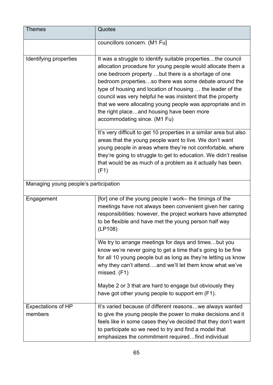| <b>Themes</b>                         | Quotes                                                                                                                                                                                                                                                                                                                                                                                                                                                                                                               |
|---------------------------------------|----------------------------------------------------------------------------------------------------------------------------------------------------------------------------------------------------------------------------------------------------------------------------------------------------------------------------------------------------------------------------------------------------------------------------------------------------------------------------------------------------------------------|
|                                       | councillors concern. (M1 Fu]                                                                                                                                                                                                                                                                                                                                                                                                                                                                                         |
| Identifying properties                | It was a struggle to identify suitable propertiesthe council<br>allocation procedure for young people would allocate them a<br>one bedroom property but there is a shortage of one<br>bedroom propertiesso there was some debate around the<br>type of housing and location of housing  the leader of the<br>council was very helpful he was insistent that the property<br>that we were allocating young people was appropriate and in<br>the right placeand housing have been more<br>accommodating since. (M1 Fu) |
|                                       | It's very difficult to get 10 properties in a similar area but also<br>areas that the young people want to live. We don't want<br>young people in areas where they're not comfortable, where<br>they're going to struggle to get to education. We didn't realise<br>that would be as much of a problem as it actually has been.<br>(F1)                                                                                                                                                                              |
| Managing young people's participation |                                                                                                                                                                                                                                                                                                                                                                                                                                                                                                                      |
| Engagement                            | [for] one of the young people I work- the timings of the<br>meetings have not always been convenient given her caring<br>responsibilities: however, the project workers have attempted<br>to be flexible and have met the young person half way<br>(LP108)                                                                                                                                                                                                                                                           |
|                                       | We try to arrange meetings for days and timesbut you<br>know we're never going to get a time that's going to be fine<br>for all 10 young people but as long as they're letting us know<br>why they can't attendand we'll let them know what we've<br>missed. (F1)                                                                                                                                                                                                                                                    |
|                                       | Maybe 2 or 3 that are hard to engage but obviously they<br>have got other young people to support em (F1).                                                                                                                                                                                                                                                                                                                                                                                                           |
| <b>Expectations of HP</b><br>members  | It's varied because of different reasons we always wanted<br>to give the young people the power to make decisions and it<br>feels like in some cases they've decided that they don't want<br>to participate so we need to try and find a model that<br>emphasizes the commitment requiredfind individual                                                                                                                                                                                                             |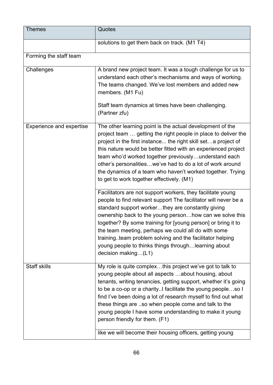| <b>Themes</b>                   | Quotes                                                                                                                                                                                                                                                                                                                                                                                                                                                                                                                                   |
|---------------------------------|------------------------------------------------------------------------------------------------------------------------------------------------------------------------------------------------------------------------------------------------------------------------------------------------------------------------------------------------------------------------------------------------------------------------------------------------------------------------------------------------------------------------------------------|
|                                 | solutions to get them back on track. (M1 T4)                                                                                                                                                                                                                                                                                                                                                                                                                                                                                             |
| Forming the staff team          |                                                                                                                                                                                                                                                                                                                                                                                                                                                                                                                                          |
| Challenges                      | A brand new project team. It was a tough challenge for us to<br>understand each other's mechanisms and ways of working.<br>The teams changed. We've lost members and added new<br>members. (M1 Fu)<br>Staff team dynamics at times have been challenging.<br>(Partner zfu)                                                                                                                                                                                                                                                               |
| <b>Experience and expertise</b> | The other learning point is the actual development of the<br>project team  getting the right people in place to deliver the<br>project in the first instance the right skill seta project of<br>this nature would be better fitted with an experienced project<br>team who'd worked together previouslyunderstand each<br>other's personalitieswe've had to do a lot of work around<br>the dynamics of a team who haven't worked together. Trying<br>to get to work together effectively. (M1)                                           |
|                                 | Facilitators are not support workers, they facilitate young<br>people to find relevant support The facilitator will never be a<br>standard support workerthey are constantly giving<br>ownership back to the young personhow can we solve this<br>together? By some training for [young person] or bring it to<br>the team meeting, perhaps we could all do with some<br>training. team problem solving and the facilitator helping<br>young people to thinks things throughlearning about<br>decision making(L1)                        |
| <b>Staff skills</b>             | My role is quite complexthis project we've got to talk to<br>young people about all aspects about housing, about<br>tenants, writing tenancies, getting support, whether it's going<br>to be a co-op or a charity. I facilitate the young peopleso I<br>find I've been doing a lot of research myself to find out what<br>these things are so when people come and talk to the<br>young people I have some understanding to make it young<br>person friendly for them. (F1)<br>like we will become their housing officers, getting young |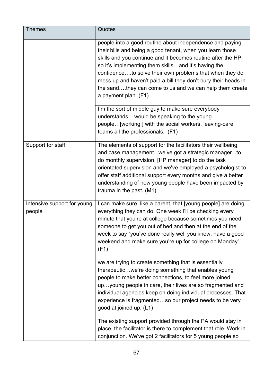| <b>Themes</b>                         | Quotes                                                                                                                                                                                                                                                                                                                                                                                                                                                      |
|---------------------------------------|-------------------------------------------------------------------------------------------------------------------------------------------------------------------------------------------------------------------------------------------------------------------------------------------------------------------------------------------------------------------------------------------------------------------------------------------------------------|
|                                       | people into a good routine about independence and paying<br>their bills and being a good tenant, when you learn those<br>skills and you continue and it becomes routine after the HP<br>so it's implementing them skillsand it's having the<br>confidenceto solve their own problems that when they do<br>mess up and haven't paid a bill they don't bury their heads in<br>the sandthey can come to us and we can help them create<br>a payment plan. (F1) |
|                                       | I'm the sort of middle guy to make sure everybody<br>understands, I would be speaking to the young<br>people[working] with the social workers, leaving-care<br>teams all the professionals. (F1)                                                                                                                                                                                                                                                            |
| Support for staff                     | The elements of support for the facilitators their wellbeing<br>and case managementwe've got a strategic managerto<br>do monthly supervision, [HP manager] to do the task<br>orientated supervision and we've employed a psychologist to<br>offer staff additional support every months and give a better<br>understanding of how young people have been impacted by<br>trauma in the past. (M1)                                                            |
| Intensive support for young<br>people | I can make sure, like a parent, that [young people] are doing<br>everything they can do. One week I'll be checking every<br>minute that you're at college because sometimes you need<br>someone to get you out of bed and then at the end of the<br>week to say "you've done really well you know, have a good<br>weekend and make sure you're up for college on Monday".<br>(F1)                                                                           |
|                                       | we are trying to create something that is essentially<br>therapeuticwe're doing something that enables young<br>people to make better connections, to feel more joined<br>upyoung people in care, their lives are so fragmented and<br>individual agencies keep on doing individual processes. That<br>experience is fragmentedso our project needs to be very<br>good at joined up. (L1)                                                                   |
|                                       | The existing support provided through the PA would stay in<br>place, the facilitator is there to complement that role. Work in<br>conjunction. We've got 2 facilitators for 5 young people so                                                                                                                                                                                                                                                               |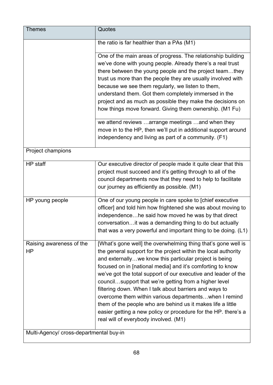| <b>Themes</b>                           | Quotes                                                                                                                                                                                                                                                                                                                                                                                                                                                                                                                                                                                                                                                                          |
|-----------------------------------------|---------------------------------------------------------------------------------------------------------------------------------------------------------------------------------------------------------------------------------------------------------------------------------------------------------------------------------------------------------------------------------------------------------------------------------------------------------------------------------------------------------------------------------------------------------------------------------------------------------------------------------------------------------------------------------|
|                                         | the ratio is far healthier than a PAs (M1)                                                                                                                                                                                                                                                                                                                                                                                                                                                                                                                                                                                                                                      |
|                                         | One of the main areas of progress. The relationship building<br>we've done with young people. Already there's a real trust<br>there between the young people and the project teamthey<br>trust us more than the people they are usually involved with<br>because we see them regularly, we listen to them,<br>understand them. Got them completely immersed in the<br>project and as much as possible they make the decisions on<br>how things move forward. Giving them ownership. (M1 Fu)                                                                                                                                                                                     |
|                                         | we attend reviews arrange meetings and when they<br>move in to the HP, then we'll put in additional support around<br>independency and living as part of a community. (F1)                                                                                                                                                                                                                                                                                                                                                                                                                                                                                                      |
| Project champions                       |                                                                                                                                                                                                                                                                                                                                                                                                                                                                                                                                                                                                                                                                                 |
| HP staff                                | Our executive director of people made it quite clear that this<br>project must succeed and it's getting through to all of the<br>council departments now that they need to help to facilitate<br>our journey as efficiently as possible. (M1)                                                                                                                                                                                                                                                                                                                                                                                                                                   |
| HP young people                         | One of our young people in care spoke to [chief executive<br>officer] and told him how frightened she was about moving to<br>independencehe said how moved he was by that direct<br>conversationit was a demanding thing to do but actually<br>that was a very powerful and important thing to be doing. (L1)                                                                                                                                                                                                                                                                                                                                                                   |
| Raising awareness of the<br>HP          | [What's gone well] the overwhelming thing that's gone well is<br>the general support for the project within the local authority<br>and externallywe know this particular project is being<br>focused on in [national media] and it's comforting to know<br>we've got the total support of our executive and leader of the<br>councilsupport that we're getting from a higher level<br>filtering down. When I talk about barriers and ways to<br>overcome them within various departmentswhen I remind<br>them of the people who are behind us it makes life a little<br>easier getting a new policy or procedure for the HP. there's a<br>real will of everybody involved. (M1) |
| Multi-Agency/ cross-departmental buy-in |                                                                                                                                                                                                                                                                                                                                                                                                                                                                                                                                                                                                                                                                                 |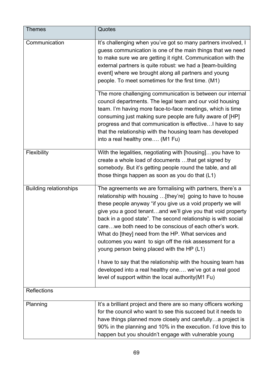| <b>Themes</b>                 | Quotes                                                                                                                                                                                                                                                                                                                                                                                                                                                                                                                                                                                                                                                                                                                                                   |
|-------------------------------|----------------------------------------------------------------------------------------------------------------------------------------------------------------------------------------------------------------------------------------------------------------------------------------------------------------------------------------------------------------------------------------------------------------------------------------------------------------------------------------------------------------------------------------------------------------------------------------------------------------------------------------------------------------------------------------------------------------------------------------------------------|
| Communication                 | It's challenging when you've got so many partners involved, I<br>guess communication is one of the main things that we need<br>to make sure we are getting it right. Communication with the<br>external partners is quite robust: we had a [team-building]<br>event] where we brought along all partners and young<br>people. To meet sometimes for the first time. (M1)<br>The more challenging communication is between our internal<br>council departments. The legal team and our void housing<br>team. I'm having more face-to-face meetings, which is time<br>consuming just making sure people are fully aware of [HP]<br>progress and that communication is effective I have to say<br>that the relationship with the housing team has developed |
|                               | into a real healthy one (M1 Fu)                                                                                                                                                                                                                                                                                                                                                                                                                                                                                                                                                                                                                                                                                                                          |
| Flexibility                   | With the legalities, negotiating with [housing] you have to<br>create a whole load of documents that get signed by<br>somebody. But it's getting people round the table, and all<br>those things happen as soon as you do that (L1)                                                                                                                                                                                                                                                                                                                                                                                                                                                                                                                      |
| <b>Building relationships</b> | The agreements we are formalising with partners, there's a<br>relationship with housing  [they're] going to have to house<br>these people anyway "if you give us a void property we will<br>give you a good tenantand we'll give you that void property<br>back in a good state". The second relationship is with social<br>care we both need to be conscious of each other's work.<br>What do [they] need from the HP. What services and<br>outcomes you want to sign off the risk assessment for a<br>young person being placed with the HP (L1)<br>I have to say that the relationship with the housing team has                                                                                                                                      |
|                               | developed into a real healthy one we've got a real good<br>level of support within the local authority (M1 Fu)                                                                                                                                                                                                                                                                                                                                                                                                                                                                                                                                                                                                                                           |
| <b>Reflections</b>            |                                                                                                                                                                                                                                                                                                                                                                                                                                                                                                                                                                                                                                                                                                                                                          |
| Planning                      | It's a brilliant project and there are so many officers working<br>for the council who want to see this succeed but it needs to<br>have things planned more closely and carefullya project is<br>90% in the planning and 10% in the execution. I'd love this to<br>happen but you shouldn't engage with vulnerable young                                                                                                                                                                                                                                                                                                                                                                                                                                 |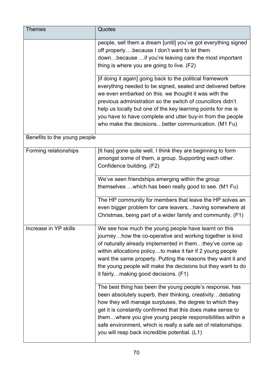| <b>Themes</b>                | Quotes                                                                                                                                                                                                                                                                                                                                                                                                                               |
|------------------------------|--------------------------------------------------------------------------------------------------------------------------------------------------------------------------------------------------------------------------------------------------------------------------------------------------------------------------------------------------------------------------------------------------------------------------------------|
|                              | people, sell them a dream [until] you've got everything signed<br>off properlybecause I don't want to let them<br>downbecause  if you're leaving care the most important<br>thing is where you are going to live. (F2)                                                                                                                                                                                                               |
|                              | [if doing it again] going back to the political framework<br>everything needed to be signed, sealed and delivered before<br>we even embarked on this. we thought it was with the<br>previous administration so the switch of councillors didn't<br>help us locally but one of the key learning points for me is<br>you have to have complete and utter buy-in from the people<br>who make the decisionsbetter communication. (M1 Fu) |
| Benefits to the young people |                                                                                                                                                                                                                                                                                                                                                                                                                                      |
| Forming relationships        | [It has] gone quite well, I think they are beginning to form<br>amongst some of them, a group. Supporting each other.<br>Confidence building. (F2)                                                                                                                                                                                                                                                                                   |
|                              | We've seen friendships emerging within the group<br>themselves  which has been really good to see. (M1 Fu)                                                                                                                                                                                                                                                                                                                           |
|                              | The HP community for members that leave the HP solves an<br>even bigger problem for care leavers having somewhere at<br>Christmas, being part of a wider family and community. (F1)                                                                                                                                                                                                                                                  |
| Increase in YP skills        | We see how much the young people have learnt on this<br>journeyhow the co-operative and working together is kind<br>of naturally already implemented in themthey've come up<br>within allocations policyto make it fair if 2 young people<br>want the same property. Putting the reasons they want it and<br>the young people will make the decisions but they want to do<br>it fairlymaking good decisions. (F1)                    |
|                              | The best thing has been the young people's response, has<br>been absolutely superb, their thinking, creativitydebating<br>how they will manage surpluses, the degree to which they<br>get it is constantly confirmed that this does make sense to<br>themwhere you give young people responsibilities within a<br>safe environment, which is really a safe set of relationships:<br>you will reap back incredible potential. (L1)    |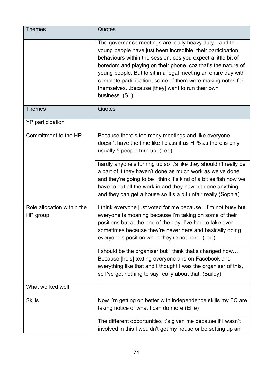| <b>Themes</b>                          | Quotes                                                                                                                                                                                                                                                                                                                                                                                                                                                  |
|----------------------------------------|---------------------------------------------------------------------------------------------------------------------------------------------------------------------------------------------------------------------------------------------------------------------------------------------------------------------------------------------------------------------------------------------------------------------------------------------------------|
|                                        | The governance meetings are really heavy dutyand the<br>young people have just been incredible. their participation,<br>behaviours within the session, cos you expect a little bit of<br>boredom and playing on their phone. coz that's the nature of<br>young people. But to sit in a legal meeting an entire day with<br>complete participation, some of them were making notes for<br>themselvesbecause [they] want to run their own<br>business(S1) |
| <b>Themes</b>                          | Quotes                                                                                                                                                                                                                                                                                                                                                                                                                                                  |
| YP participation                       |                                                                                                                                                                                                                                                                                                                                                                                                                                                         |
| Commitment to the HP                   | Because there's too many meetings and like everyone<br>doesn't have the time like I class it as HP5 as there is only<br>usually 5 people turn up. (Lee)                                                                                                                                                                                                                                                                                                 |
|                                        | hardly anyone's turning up so it's like they shouldn't really be<br>a part of it they haven't done as much work as we've done<br>and they're going to be I think it's kind of a bit selfish how we<br>have to put all the work in and they haven't done anything<br>and they can get a house so it's a bit unfair really (Sophia)                                                                                                                       |
| Role allocation within the<br>HP group | I think everyone just voted for me becauseI'm not busy but<br>everyone is moaning because I'm taking on some of their<br>positions but at the end of the day. I've had to take over<br>sometimes because they're never here and basically doing<br>everyone's position when they're not here. (Lee)                                                                                                                                                     |
|                                        | I should be the organiser but I think that's changed now<br>Because [he's] texting everyone and on Facebook and<br>everything like that and I thought I was the organiser of this,<br>so I've got nothing to say really about that. (Bailey)                                                                                                                                                                                                            |
| What worked well                       |                                                                                                                                                                                                                                                                                                                                                                                                                                                         |
| <b>Skills</b>                          | Now I'm getting on better with independence skills my FC are<br>taking notice of what I can do more (Ellie)                                                                                                                                                                                                                                                                                                                                             |
|                                        | The different opportunities it's given me because if I wasn't<br>involved in this I wouldn't get my house or be setting up an                                                                                                                                                                                                                                                                                                                           |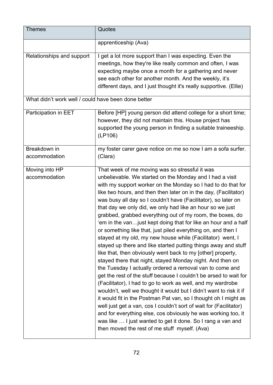| <b>Themes</b>                                       | Quotes                                                                                                                                                                                                                                                                                                                                                                                                                                                                                                                                                                                                                                                                                                                                                                                                                                                                                                                                                                                                                                                                                                                                                                                                                                                                                                                                                                                                                                    |
|-----------------------------------------------------|-------------------------------------------------------------------------------------------------------------------------------------------------------------------------------------------------------------------------------------------------------------------------------------------------------------------------------------------------------------------------------------------------------------------------------------------------------------------------------------------------------------------------------------------------------------------------------------------------------------------------------------------------------------------------------------------------------------------------------------------------------------------------------------------------------------------------------------------------------------------------------------------------------------------------------------------------------------------------------------------------------------------------------------------------------------------------------------------------------------------------------------------------------------------------------------------------------------------------------------------------------------------------------------------------------------------------------------------------------------------------------------------------------------------------------------------|
|                                                     | apprenticeship (Ava)                                                                                                                                                                                                                                                                                                                                                                                                                                                                                                                                                                                                                                                                                                                                                                                                                                                                                                                                                                                                                                                                                                                                                                                                                                                                                                                                                                                                                      |
| Relationships and support                           | I get a lot more support than I was expecting. Even the<br>meetings, how they're like really common and often, I was<br>expecting maybe once a month for a gathering and never<br>see each other for another month. And the weekly, it's<br>different days, and I just thought it's really supportive. (Ellie)                                                                                                                                                                                                                                                                                                                                                                                                                                                                                                                                                                                                                                                                                                                                                                                                                                                                                                                                                                                                                                                                                                                            |
| What didn't work well / could have been done better |                                                                                                                                                                                                                                                                                                                                                                                                                                                                                                                                                                                                                                                                                                                                                                                                                                                                                                                                                                                                                                                                                                                                                                                                                                                                                                                                                                                                                                           |
| Participation in EET                                | Before [HP] young person did attend college for a short time;<br>however, they did not maintain this. House project has<br>supported the young person in finding a suitable traineeship.<br>(LP106)                                                                                                                                                                                                                                                                                                                                                                                                                                                                                                                                                                                                                                                                                                                                                                                                                                                                                                                                                                                                                                                                                                                                                                                                                                       |
| Breakdown in<br>accommodation                       | my foster carer gave notice on me so now I am a sofa surfer.<br>(Clara)                                                                                                                                                                                                                                                                                                                                                                                                                                                                                                                                                                                                                                                                                                                                                                                                                                                                                                                                                                                                                                                                                                                                                                                                                                                                                                                                                                   |
| Moving into HP<br>accommodation                     | That week of me moving was so stressful it was<br>unbelievable. We started on the Monday and I had a visit<br>with my support worker on the Monday so I had to do that for<br>like two hours, and then then later on in the day, (Facilitator)<br>was busy all day so I couldn't have (Facilitator), so later on<br>that day we only did, we only had like an hour so we just<br>grabbed, grabbed everything out of my room, the boxes, do<br>'em in the van just kept doing that for like an hour and a half<br>or something like that, just piled everything on, and then I<br>stayed at my old, my new house while (Facilitator) went, I<br>stayed up there and like started putting things away and stuff<br>like that, then obviously went back to my [other] property,<br>stayed there that night, stayed Monday night. And then on<br>the Tuesday I actually ordered a removal van to come and<br>get the rest of the stuff because I couldn't be arsed to wait for<br>(Facilitator), I had to go to work as well, and my wardrobe<br>wouldn't, well we thought it would but I didn't want to risk it if<br>it would fit in the Postman Pat van, so I thought oh I might as<br>well just get a van, cos I couldn't sort of wait for (Facilitator)<br>and for everything else, cos obviously he was working too, it<br>was like  I just wanted to get it done. So I rang a van and<br>then moved the rest of me stuff myself. (Ava) |